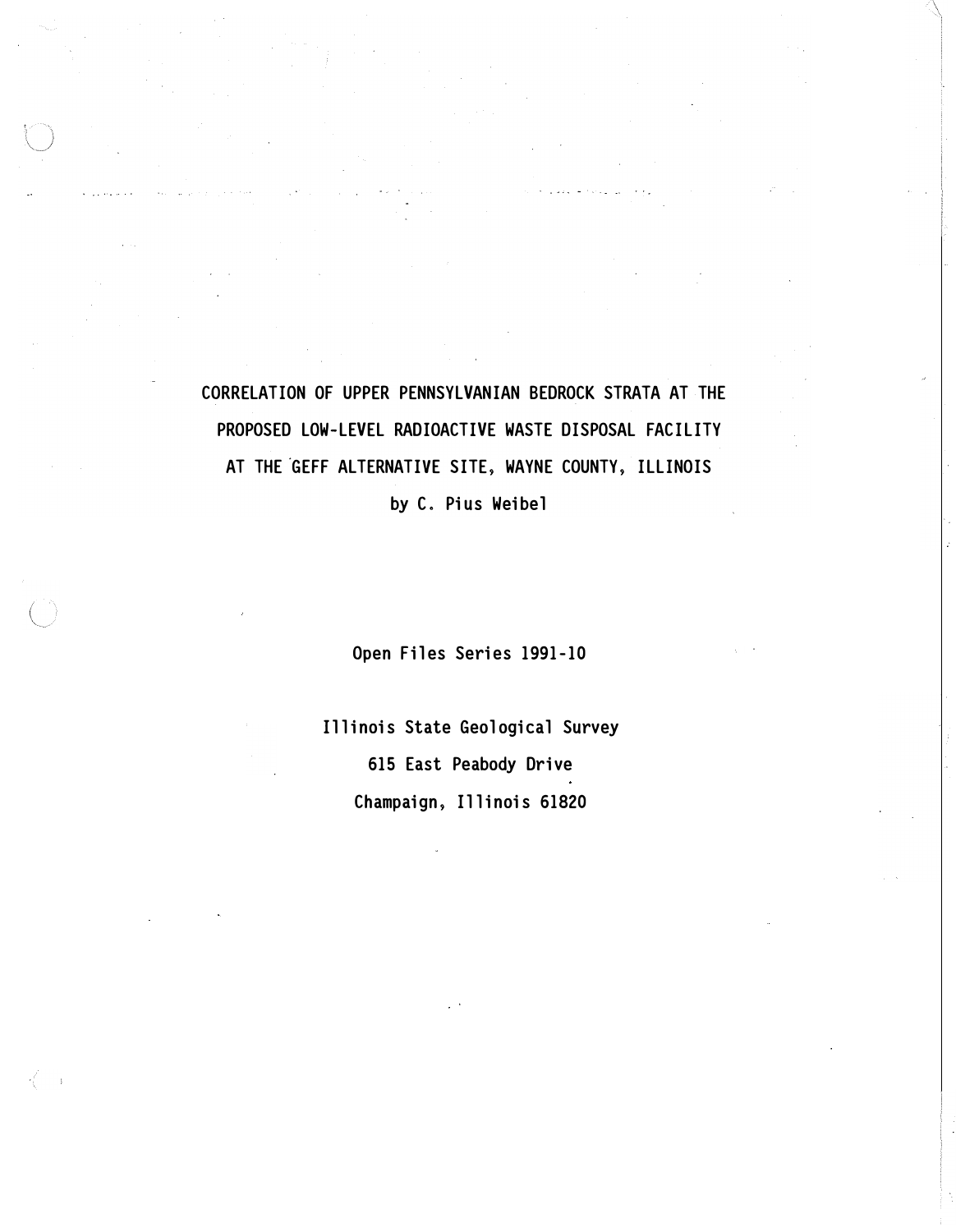CORRELATION OF UPPER PENNSYLVANIAN BEDROCK STRATA AT THE PROPOSED LOW-LEVEL RADIOACTIVE WASTE DISPOSAL FACILITY AT THE GEFF ALTERNATIVE SITE, WAYNE COUNTY, ILLINOIS

by C. Pius Weibel

Open Files Series 1991-10

Illinois State Geological Survey 615 East Peabody Drive Champaign, Illinois 61820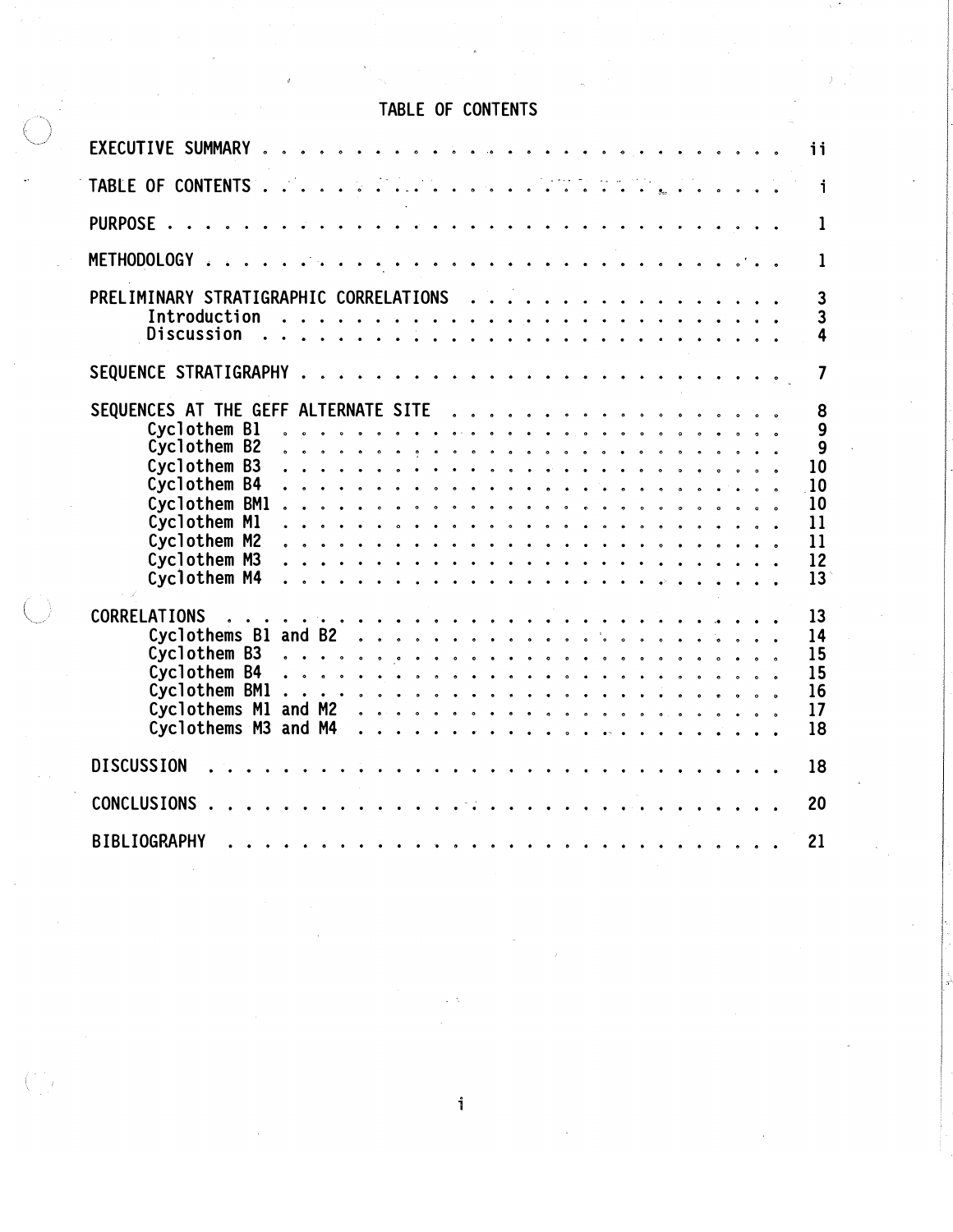# TABLE OF CONTENTS

| EXECUTIVE SUMMARY<br>ii<br>$\cdot$ .                                                                                                                                                                                                                                                                                                                                                                                                                                                                                                                                                                                                                                                                                                                                                                                                                                                                                    |
|-------------------------------------------------------------------------------------------------------------------------------------------------------------------------------------------------------------------------------------------------------------------------------------------------------------------------------------------------------------------------------------------------------------------------------------------------------------------------------------------------------------------------------------------------------------------------------------------------------------------------------------------------------------------------------------------------------------------------------------------------------------------------------------------------------------------------------------------------------------------------------------------------------------------------|
| $\begin{array}{cccccccccccccc} \mathcal{L} & \mathcal{L} & \mathcal{L} & \mathcal{L} & \mathcal{L} & \mathcal{L} & \mathcal{L} & \mathcal{L} & \mathcal{L} & \mathcal{L} & \mathcal{L} & \mathcal{L} & \mathcal{L} & \mathcal{L} & \mathcal{L} & \mathcal{L} & \mathcal{L} & \mathcal{L} & \mathcal{L} & \mathcal{L} & \mathcal{L} & \mathcal{L} & \mathcal{L} & \mathcal{L} & \mathcal{L} & \mathcal{L} & \mathcal{L} & \mathcal{L} & \mathcal{L} & \mathcal{L} &$<br>$\ddot{\phantom{a}}$<br>TABLE OF CONTENTS<br>$\mathbf{i}$<br>$\ddot{\phantom{a}}$<br>$\ddot{\phantom{a}}$<br>$\mathbf{A}$<br>$\bullet$ $\bullet$<br>$\bullet$                                                                                                                                                                                                                                                                                    |
| PURPOSE .<br>1<br>$\ddot{\bullet}$ $\ddot{\bullet}$ $\ddot{\bullet}$                                                                                                                                                                                                                                                                                                                                                                                                                                                                                                                                                                                                                                                                                                                                                                                                                                                    |
| <b>METHODOLOGY</b><br>1<br>$\sim$ $\sim$<br>$\bullet$ $\bullet$ $\bullet$ $\bullet$ $\bullet$ $\bullet$<br>$\mathbf{r}$<br>$\ddot{\phantom{a}}$<br>$\bullet$ $\bullet$ $\bullet$ $\bullet$                                                                                                                                                                                                                                                                                                                                                                                                                                                                                                                                                                                                                                                                                                                              |
| PRELIMINARY STRATIGRAPHIC CORRELATIONS<br>3<br>$\sim$ $\sim$ $\sim$ $\sim$ $\sim$<br>$\ddot{\phantom{a}}$<br>Introduction<br>3<br>.<br>$\sim$ $\sim$ $\sim$ $\sim$<br><b>Discussion</b><br>4<br>$\cdot$ $\cdot$ $\cdot$ $\cdot$ $\cdot$                                                                                                                                                                                                                                                                                                                                                                                                                                                                                                                                                                                                                                                                                 |
| SEQUENCE STRATIGRAPHY<br>$\overline{\mathbf{z}}$<br>$\mathbf{r}$ , $\mathbf{r}$ , $\mathbf{r}$ , $\mathbf{r}$<br>$\mathbf{A}$<br>$\mathbf{A}$ and $\mathbf{A}$<br>$\sim$<br>$\ddot{\phantom{a}}$<br>$\overline{\phantom{a}}$                                                                                                                                                                                                                                                                                                                                                                                                                                                                                                                                                                                                                                                                                            |
| SEQUENCES AT THE GEFF ALTERNATE SITE<br>8<br>$\ddot{\phantom{a}}$<br>$\overline{\phantom{a}}$<br>9<br>Cyclothem B1<br>$\overline{9}$<br>Cyclothem B2<br>$\ddot{\phantom{a}}$<br>$\bullet$<br>$\bullet$<br>Cyclothem B3<br>10<br>$\cdot$ $\cdot$ $\cdot$ $\cdot$<br>$\ddot{\phantom{a}}$<br>Cyclothem B4<br>10<br>$\bullet$ $\bullet$ $\bullet$<br>Cyclothem BM1<br>10<br>$\bullet\quad\circ\quad\circ\quad\circ\quad\circ$<br>$\ddot{\phantom{a}}$<br>$\begin{array}{ccccccccccccccccc} \circ & \circ & \circ & \circ & \circ & \circ & \circ & \circ & \circ \end{array}$<br>Cyclothem M1<br>11<br>Cyclothem M2<br>11<br>.<br>$\sim$<br>$\bullet$ $\bullet$ $\bullet$ $\bullet$ $\bullet$<br>Cyclothem M3<br>12<br>.<br>Cyclothem M4<br>13<br>$\bullet$ $\bullet$ $\bullet$ $\bullet$ $\bullet$ $\bullet$ $\bullet$<br>$\ddot{\phantom{0}}$<br>$\ddot{\phantom{1}}$<br>$\cdot$ $\cdot$ $\cdot$<br>$\ddot{\phantom{1}}$ |
| <b>CORRELATIONS</b><br>13<br>.<br>$\mathbf{r}$ $\mathbf{r}$ $\mathbf{r}$<br>Cyclothems B1 and B2<br>14<br>Cyclothem B3<br>15<br>Cyclothem B4<br>15<br>. <b>. .</b> .<br>Cyclothem BM1<br>16<br>.<br>Cyclothems M1 and M2<br>17<br>Cyclothems M3 and M4<br>18<br>. <i>.</i><br><b>Contract Contract</b>                                                                                                                                                                                                                                                                                                                                                                                                                                                                                                                                                                                                                  |
| <b>DISCUSSION</b><br>18                                                                                                                                                                                                                                                                                                                                                                                                                                                                                                                                                                                                                                                                                                                                                                                                                                                                                                 |
| <b>CONCLUSIONS</b><br>20                                                                                                                                                                                                                                                                                                                                                                                                                                                                                                                                                                                                                                                                                                                                                                                                                                                                                                |
| <b>BIBLIOGRAPHY</b><br>21                                                                                                                                                                                                                                                                                                                                                                                                                                                                                                                                                                                                                                                                                                                                                                                                                                                                                               |

 $\mathbf i$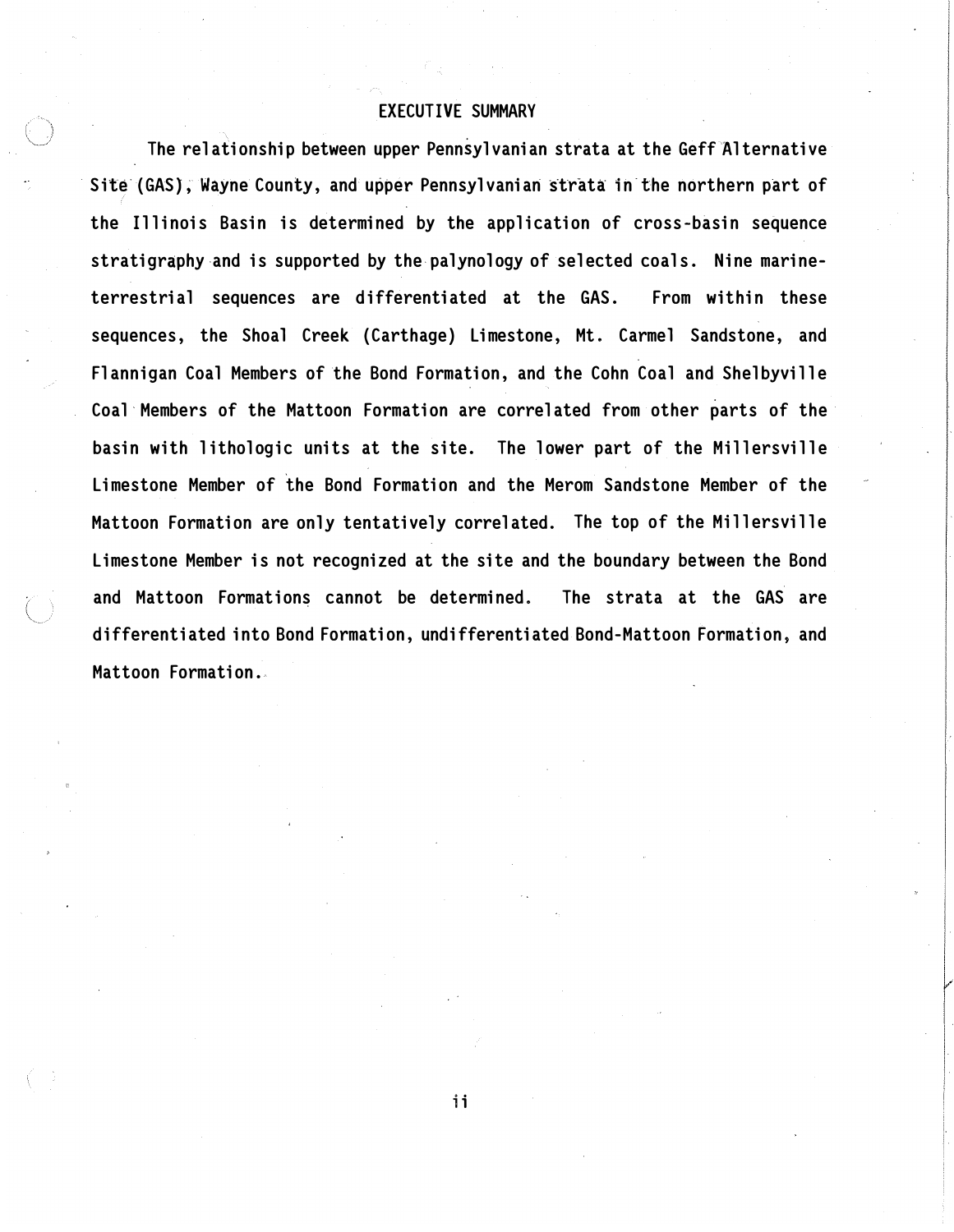# EXECUTIVE SUMMARY

The relationship between upper Pennsylvanian strata at the Geff Alternative Site (GAS), Wayne County, and upper Pennsylvanian strata in the northern part of the Illinois Basin is determined by the application of cross-basin sequence stratigraphy and is supported by the palynology of selected coals. Nine marineterrestrial sequences are d ifferentiated at the GAS. From within these sequences, the Shoal Creek (Carthage) Limestone, Mt. Carmel Sandstone, and Flannigan Coal Members of the Bond Formation, and the Cohn Coal and Shelbyville Coal Members of the Mattoon Formation are correlated from other parts of the basin with lithologic units at the site. The lower part of the Millersville Limestone Member of the Bond Formation and the Merom Sandstone Member of the Mattoon Formation are only tentatively correlated. The top of the Millersville Limestone Member is not recognized at the site and the boundary between the Bond and Mattoon Formations cannot be determined. The strata at the GAS are d ifferentiated into Bond Formation, undifferentiated Bond-Mattoon Formation, and Mattoon Formation.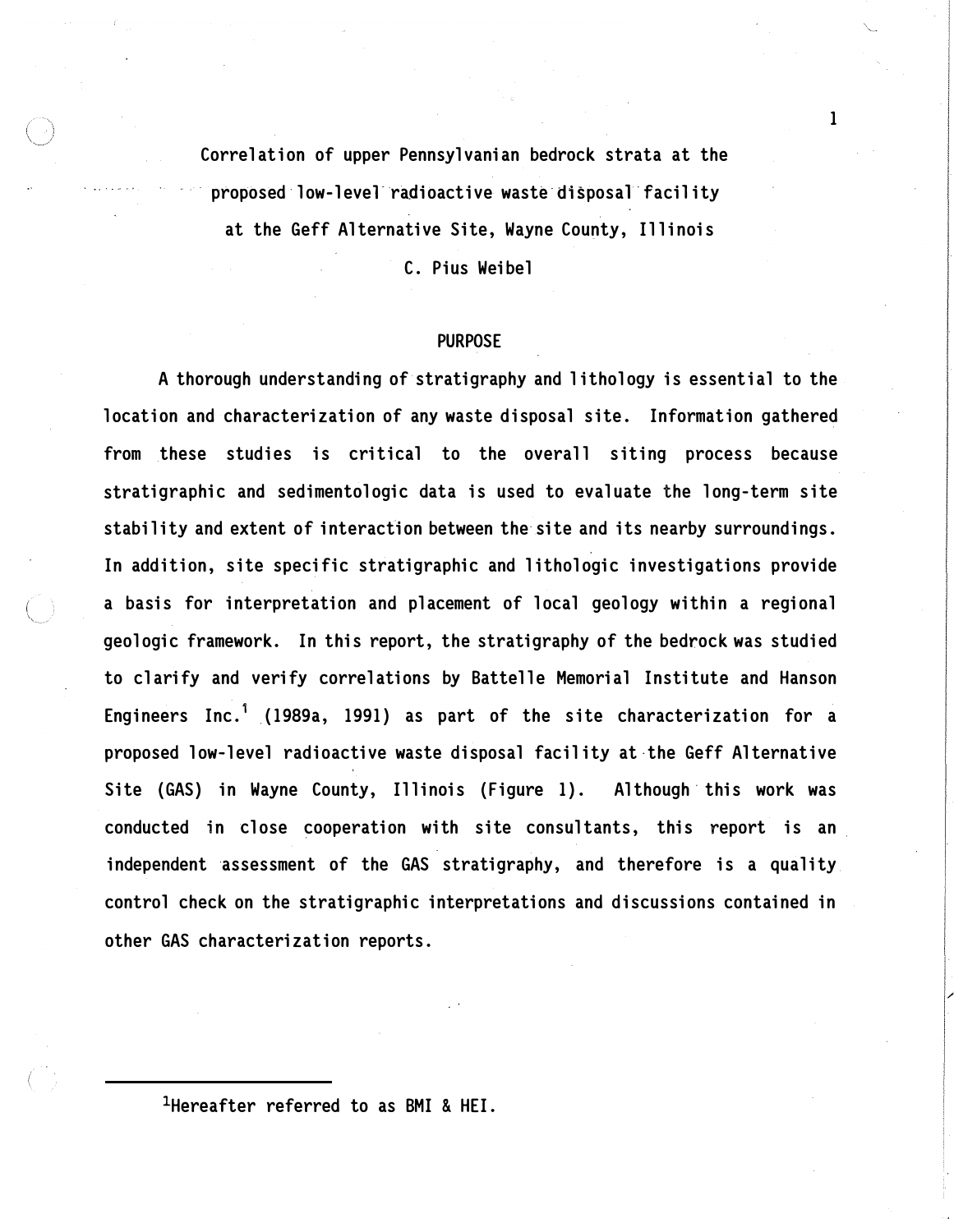Correlation of upper Pennsylvanian bedrock strata at the proposed low-level radioactive waste disposal facility at the Geff Alternative Site, Wayne County, Illinois

C. Pius Weibel

#### PURPOSE

A thorough understanding of stratigraphy and lithology is essential to the location and characterization of any waste disposal site. Information gathered from these studies is critical to the overall siting process because stratigraphic and sedimentologic data is used to evaluate the long-term site stability and extent of interaction between the site and its nearby surroundings. In addition, site specific stratigraphic and lithologic investigations provide a basis for interpretation and placement of local geology within a regional geologic framework. In this report, the stratigraphy of the bedrock was studied to clarify and verify correlations by Battelle Memorial Institute and Hanson Engineers Inc.<sup>1</sup> (1989a, 1991) as part of the site characterization for a proposed low-level radioactive waste disposal facility at-the Geff Alternative Site (GAS) in Wayne County, Illinois (Figure 1). Although this work was conducted in close cooperation with site consultants, this report is an \_ independent assessment of the GAS stratigraphy, and therefore is a quality control check on the stratigraphic interpretations and discussions contained in other GAS characterization reports.

1Hereafter referred to as BMI & HEI.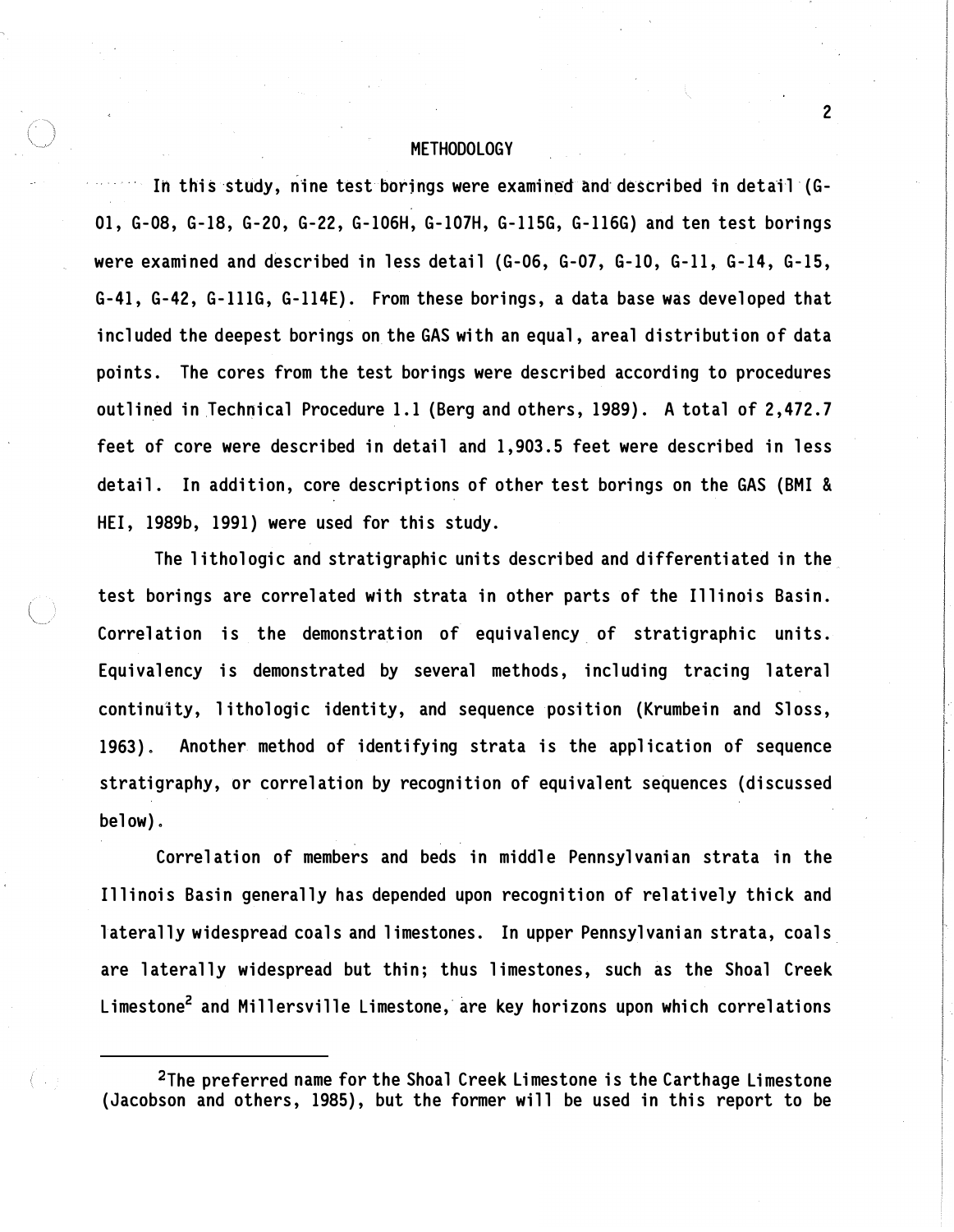# **METHODOLOGY**

In this study, nine test borings were examined and described in detail (G-01, G-08, G-18, G-20, G-22, G-106H, G-107H, G-1156, G-116G) and ten test borings were examined and described in less detail (G-06, G-07, G-10, G-11, G-14, G-15, G-41, G-42, G-lllG, G-114E). From these borings, a data base was developed that included the deepest borings on the GAS with an equal, areal distribution of data points. The cores from the test borings were described according to procedures outlined in Technical Procedure 1.1 (Berg and others, 1989). A total of 2, 472.7 feet of core were described in detail and 1, 903.5 feet were described in less detail. In addition, core descriptions of other test borings on the GAS (BMI & HEI, 1989b, 1991) were used for this study.

The lithologic and stratigraphic units described and differentiated in the test borings are correlated with strata in other parts of the Illinois Basin. Correlation is the demonstration of equivalency of stratigraphic units. Equivalency is demonstrated by several methods, including tracing lateral continuity, 1 ithologic identity, and sequence position (Krumbein and Sloss, 1963). Another method of identifying strata is the application of sequence stratigraphy, or correlation by recognition of equivalent sequences (discussed below) .

Correlation of members and beds in middle Pennsylvanian strata in the Illinois Basin generally has depended upon recognition of relatively thick and laterally widespread coals and limestones. In upper Pennsylvanian strata, coals are laterally widespread but thin; thus limestones, such as the Shoal Creek Limestone<sup>2</sup> and Millersville Limestone, are key horizons upon which correlations

 $2$ The preferred name for the Shoal Creek Limestone is the Carthage Limestone (Jacobson and others, 1985), but the former will be used in this report to be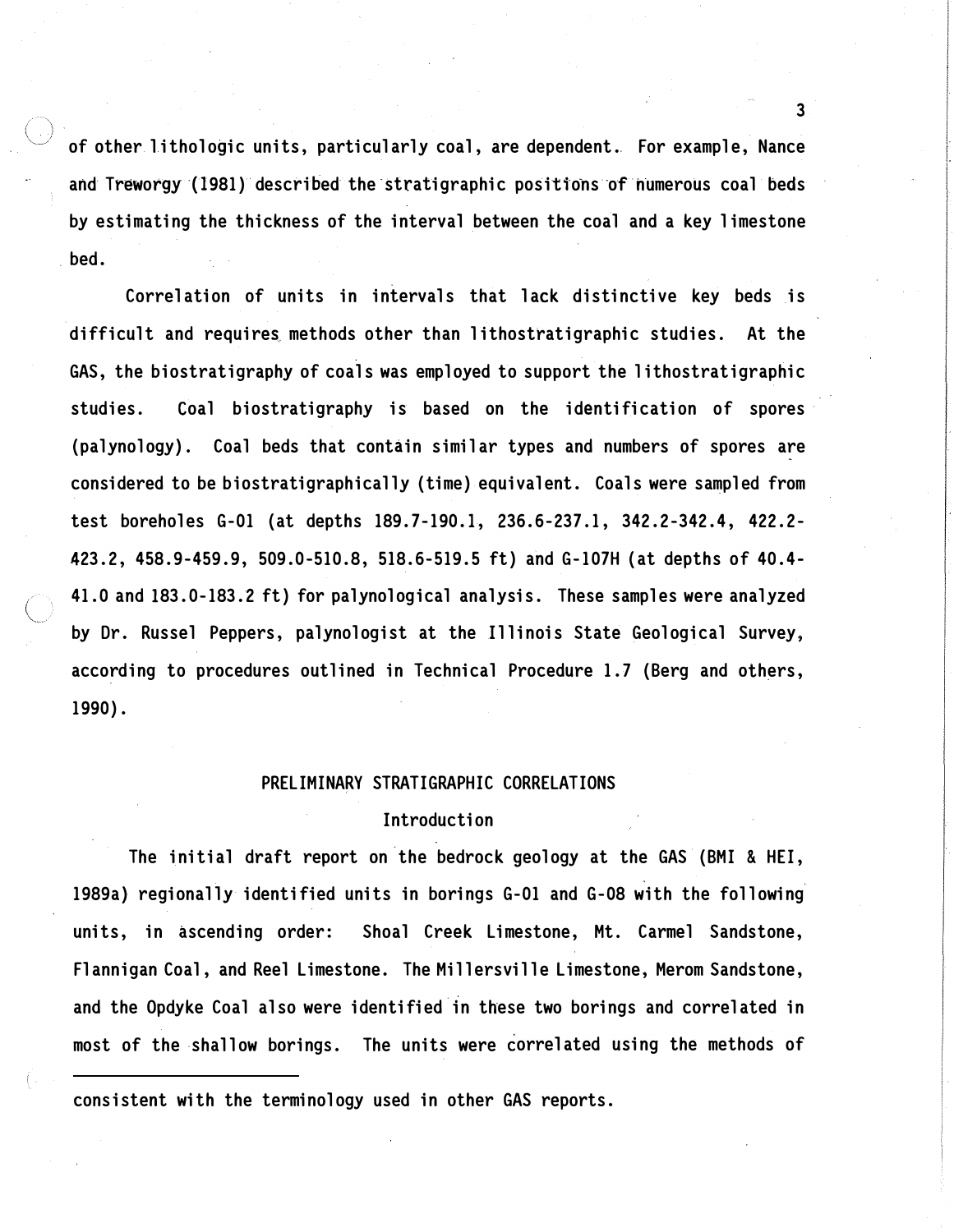of other lithologic units, particularly coal, are dependent. For example, Nance and Treworgy (1981) described the stratigraphic positions of numerous coal beds by estimating the thickness of the interval between the coal and a key limestone \_ bed.

Correlation of units in intervals that lack distinctive key beds is difficult and requires methods other than lithostratigraphic studies. At the GAS, the biostratigraphy of coals was employed to support the lithostratigraphic studies. Coal biostratigraphy is based on the identification of spores (palynology) . Coal beds that contain similar types and numbers of spores are considered to be biostratigraphically (time) equivalent. Coals were sampled from test boreholes G-01 (at depths 189.7-190.1, 236.6-237.1, 342.2-342.4, 422.2-423. 2, 458. 9-459. 9, 509. 0-510. 8, 518. 6-519. 5 ft) and G-107H (at depths of 40. 4- 41. 0 and 183. 0-183. 2 ft) for palynological analysis. These samples were analyzed by Dr. Russel Peppers, palynologist at the Illinois State Geological Survey, according to procedures outlined in Technical Procedure 1.7 (Berg and others, 1990).

# PRELIMINARY STRATIGRAPHIC CORRELATIONS

# Introduction

The initial draft report on the bedrock geology at the GAS (BMI & HEI, 1989a) regionally identified units in borings G-01 and G-08 with the following units, in ascending order: Shoal Creek Limestone, Mt. Carmel Sandstone, Flannigan Coal, and Reel Limestone. The Millersville Limestone, Merom Sandstone, and the Opdyke Coal also were identified in these two borings and correlated in most of the shallow borings. The units were correlated using the methods of

consistent with the terminology used in other GAS reports.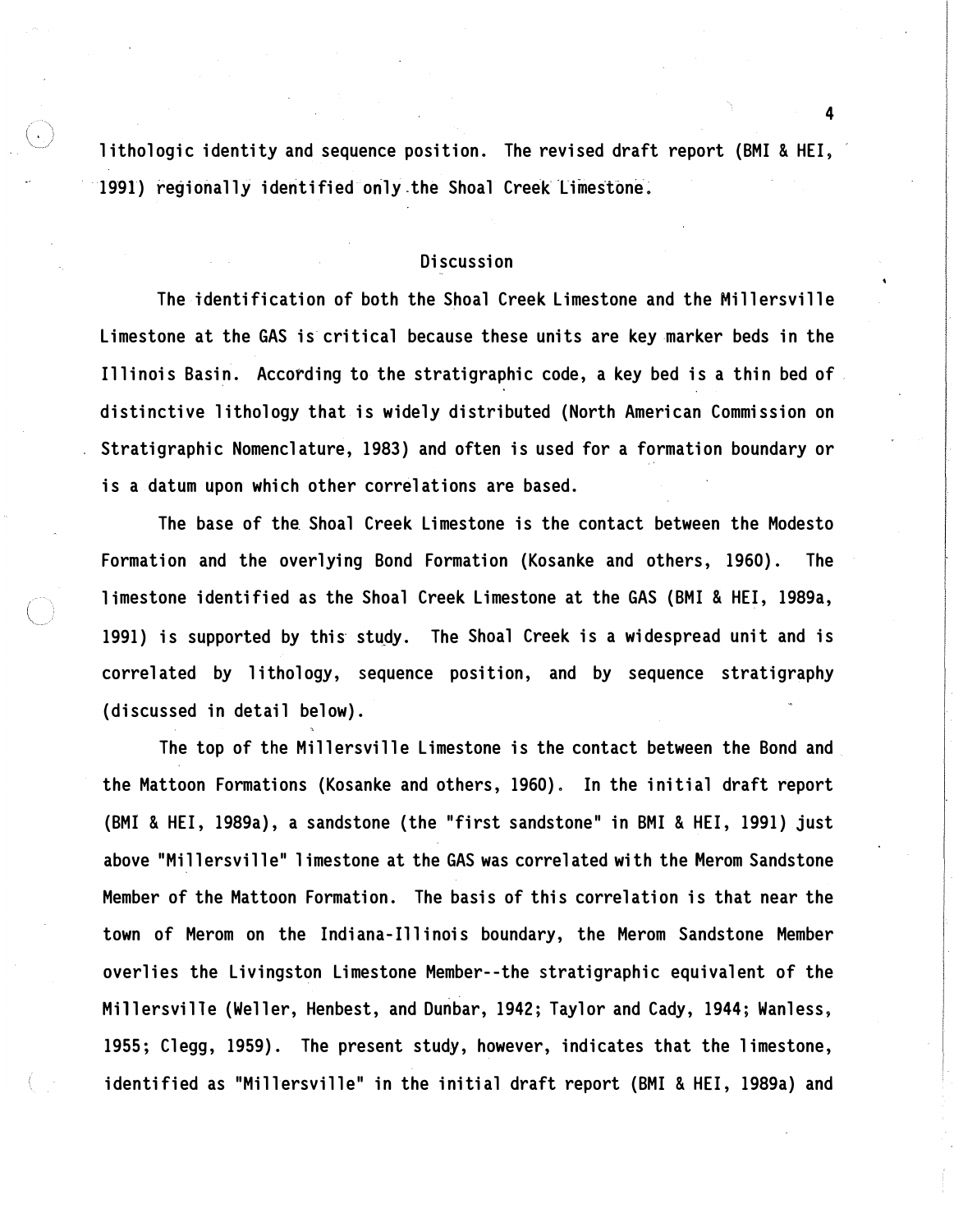lithologic identity and sequence position. The revised draft report (BMI & HEI, 1991) regionally identified only the Shoal Creek Limestone.

# Discussion

The identification of both the Shoal Creek Limestone and the Millersville Limestone at the GAS is critical because these units are key marker beds in the Illinois Basin. According to the stratigraphic code, a key bed is a thin bed of distinctive lithology that is widely distributed (North American Commission on Stratigraphic Nomenclature, 1983) and often is used for a formation boundary or is a datum upon which other correlations are based.

The base of the Shoal Creek Limestone is the contact between the Modesto Formation and the overlying Bond Formation (Kosanke and others, 1960). The limestone identified as the Shoal Creek Limestone at the GAS {BMI & HEI, 1989a, 1991) is supported by this study. The Shoal Creek is a widespread unit and is correlated by lithology, sequence position, and by sequence stratigraphy (discussed in detail below).

The top of the Millersville Limestone is the contact between the Bond and the Mattoon Formations (Kosanke and others, 1960) . In the initial draft report (BMI & HEI, 1989a), a sandstone {the "first sandstone" in BMI & HEI, 1991) just above "Millersville" 1 imestone at the GAS was correlated with the Merom Sandstone Member of the Mattoon Formation. The basis of this correlation is that near the town of Merom on the Indiana-Illinois boundary, the Merom Sandstone Member overlies the Livingston Limestone Member--the stratigraphic equivalent of the M illersville (Weller, Henbest, and Dunbar, 1942; Taylor and Cady, 1944; Wanless, 1955; Clegg, 1959). The present study, however, indicates that the limestone, identified as "Millersville" in the initial draft report (BMI & HEI, 1989a) and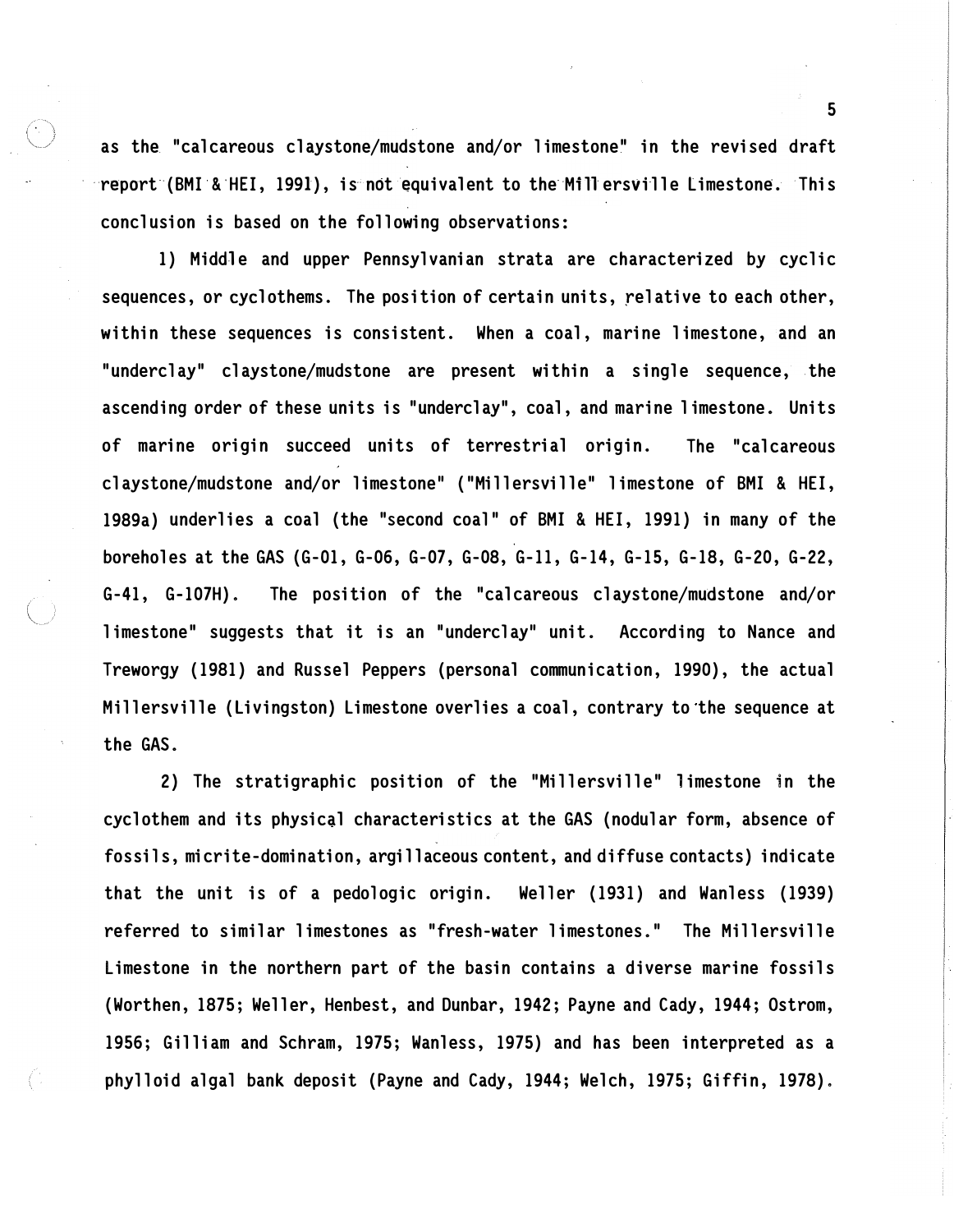as the "calcareous claystone/mudstone and/or limestone" in the revised draft report (BMI & HEI, 1991), is not equivalent to the Mill ersville Limestone. This conclusion is based on the following observations:

1) Middle and upper Pennsylvanian strata are characterized by cyclic sequences, or cyclothems. The position of certain units, relative to each other, within these sequences is consistent. When a coal, marine limestone, and an "underclay" claystone/mudstone are present within a single sequence, the ascending order of these units is "underclay", coal, and marine limestone. Units of marine origin succeed units of terrestrial origin. The "calcareous claystone/mudstone and/or limestone" ("Millersville" limestone of BMI & HEI, 1989a) underlies a coal (the "second coal" of BMI & HEI, 1991) in many of the boreholes at the GAS (G-01, G-06, G-07, G-08, G-11, G-14, G-15, G-18, G-20, G-22, G-41, G-107H). The position of the "calcareous claystone/mudstone and/or limestone" suggests that it is an "underclay" unit. According to Nance and Treworgy (1981) and Russel Peppers (personal communication, 1990), the actual M illersville (Livingston) Limestone overlies a coal, contrary to the sequence at the GAS.

2) The stratigraphic position of the "Millersville" limestone in the cyclothem and its physical characteristics at the GAS (nodular form, absence of fossils, micrite-domination, argillaceous content, and diffuse contacts) indicate that the unit is of a pedologic origin. Weller {1931) and Wanless (1939) referred to similar limestones as "fresh-water limestones." The Millersville Limestone in the northern part of the basin contains a diverse marine fossils (Worthen, 1875; Weller, Henbest, and Dunbar, 1942; Payne and Cady, 1944; Ostrom, 1956; Gilliam and Schram, 1975; Wanless, 1975) and has been interpreted as a phylloid algal bank deposit (Payne and Cady, 1944; Welch, 1975; Giffin, 1978) .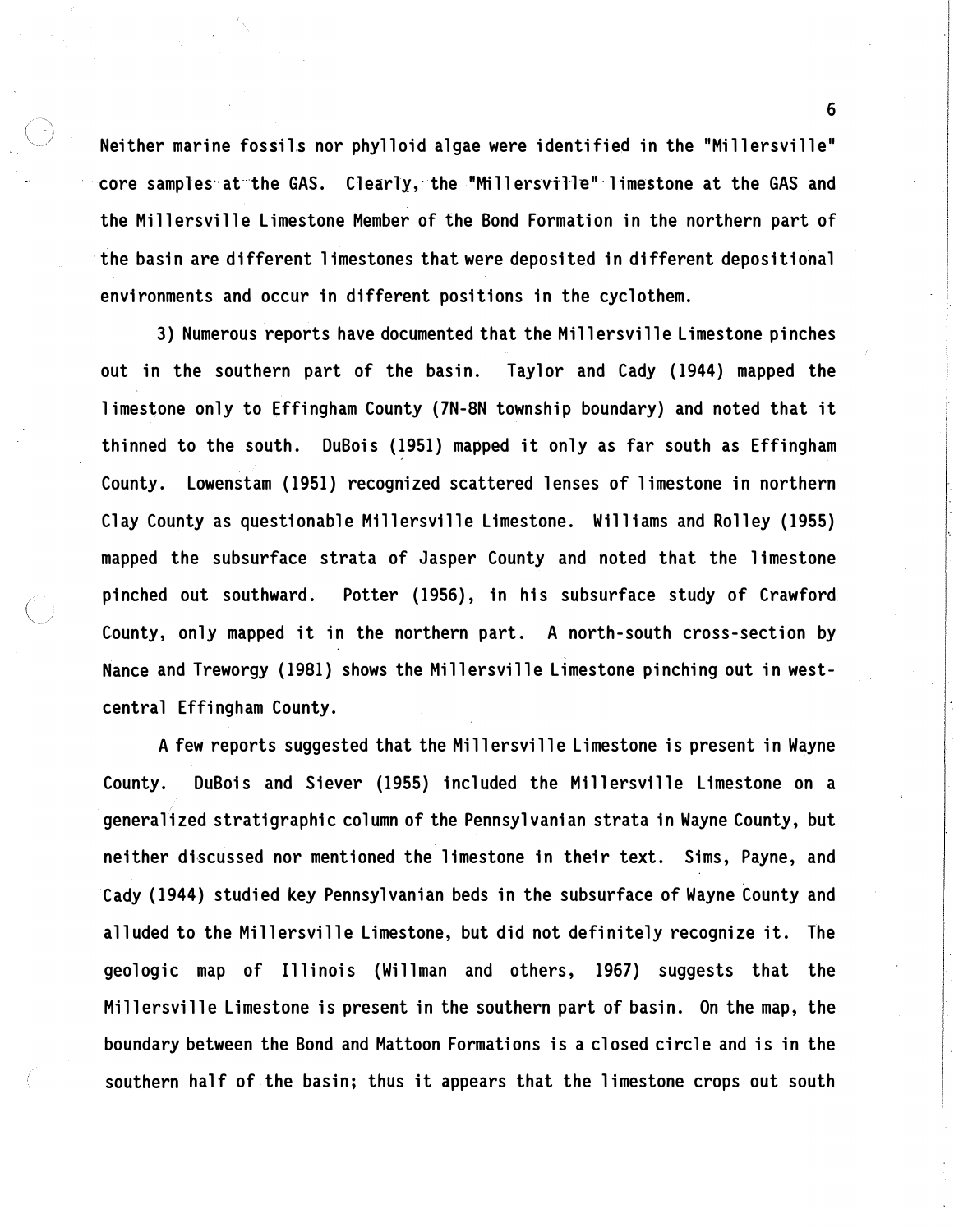Neither marine fossils nor phylloid algae were identified in the "Millersville" core samples at the GAS. Clearly, the "Millersville" limestone at the GAS and the Millersville Limestone Member of the Bond Formation in the northern part of the basin are different limestones that were deposited in different depositional environments and occur in different positions in the cyclothem.

3) Numerous reports have documented that the Millersville Limestone pinches out in the southern part of the basin. Taylor and Cady (1944) mapped the limestone only to Effingham County (7N-8N township boundary) and noted that it thinned to the south. DuBois (1951) mapped it only as far south as Effingham County. Lowenstam (1951) recognized scattered lenses of limestone in northern Clay County as questionable Millersville Limestone. Williams and Rolley (1955) mapped the subsurface strata of Jasper County and noted that the limestone pinched out southward. Potter (1956), in his subsurface study of Crawford County, only mapped it in the northern part. A north-south cross-section by Nance and Treworgy (1981) shows the Millersville Limestone pinching out in westcentral Effingham County.

A few reports suggested that the Millersville Limestone is present in Wayne County. DuBois and Siever (1955) included the Millersville Limestone on a generalized stratigraphic column of the Pennsylvanian strata in Wayne County, but neither discussed nor mentioned the limestone in their text. Sims, Payne, and Cady (1944) studied key Pennsylvanian beds in the subsurface of Wayne County and alluded to the Millersville Limestone, but did not definitely recognize it . The geologic map of Illinois (Willman and others, 1967) suggests that the Millersville Limestone is present in the southern part of basin. On the map, the boundary between the Bond and Mattoon Formations is a closed circle and is in the southern half of the basin; thus it appears that the limestone crops out south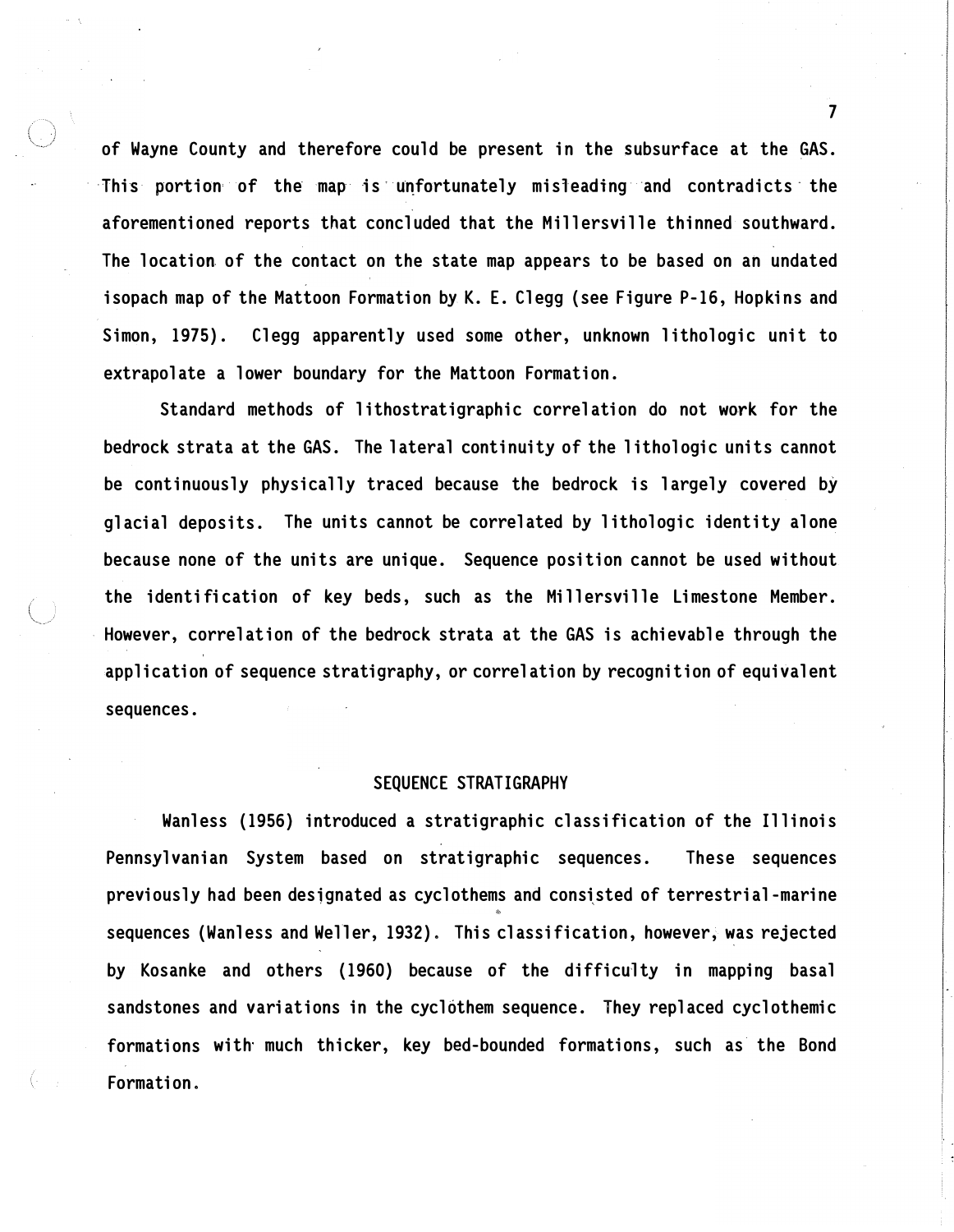of Wayne County and therefore could be present in the subsurface at the GAS. This portion of the map is unfortunately misleading and contradicts the aforementioned reports that concluded that the Millersville thinned southward. The location of the contact on the state map appears to be based on an undated isopach map of the Mattoon Formation by K. E. Clegg (see Figure P-16, Hopkins and Simon, 1975). Clegg apparently used some other, unknown lithologic unit to extrapolate a lower boundary for the Mattoon Formation.

Standard methods of lithostratigraphic correlation do not work for the bedrock strata at the GAS. The lateral continuity of the lithologic units cannot be continuously physically traced because the bedrock is largely covered by glacial deposits. The units cannot be correlated by lithologic identity alone because none of the units are unique. Sequence position cannot be used without the identification of key beds, such as the Millersville Limestone Member. However, correlation of the bedrock strata at the GAS is achievable through the application of sequence stratigraphy, or correlation by recognition of equivalent sequences.

#### SEQUENCE STRATIGRAPHY

Wanless (1956} introduced a stratigraphic classification of the Illinois Pennsylvanian System based on stratigraphic sequences. These sequences previously had been designated as cyclothems and consisted of terrestrial-marine sequences (Wanless and Weller, 1932). This classification, however, was rejected by Kosanke and others {1960) because of the difficulty in mapping basal sandstones and variations in the cyclothem sequence. They replaced cyclothemic formations with much thicker, key bed-bounded formations, such as the Bond Formation.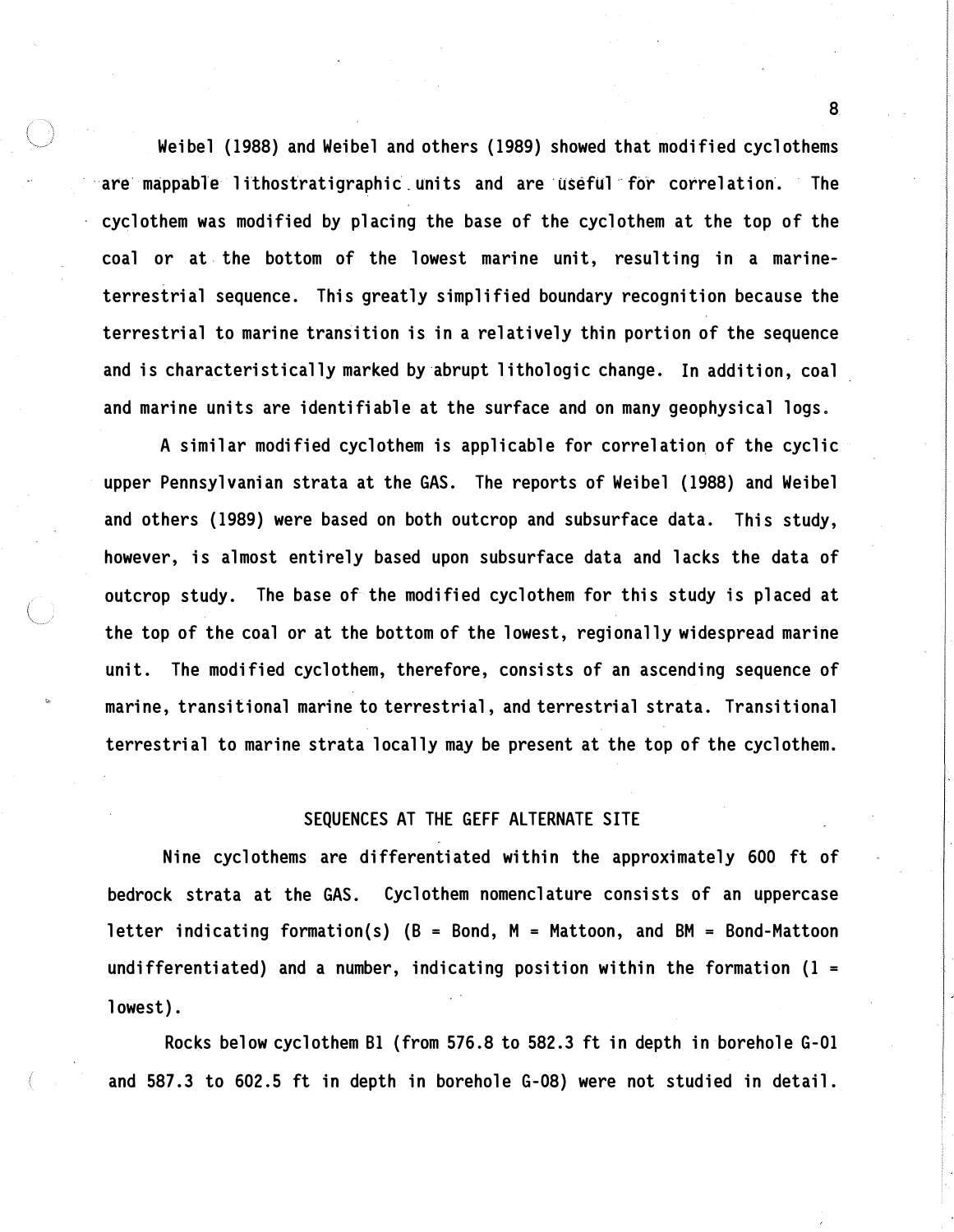Weibel (1988) and Weibel and others (1989) showed that modified cyclothems are mappable lithostratigraphic units and are useful for correlation. The cyclothem was modified by placing the base of the cyclothem at the top of the coal or at the bottom of the lowest marine unit, resulting in a marineterrestrial sequence. This greatly simplified boundary recognition because the terrestrial to marine transition is in a relatively thin portion of the sequence and is characteristically marked by-abrupt lithologic change. In addition, coal and marine units are identifiable at the surface and on many geophysical logs.

A similar modified cyclothem is applicable for correlation of the cyclic upper Pennsylvanian strata at the GAS. The reports of Weibel (1988) and Weibel and others (1989) were based on both outcrop and subsurface data. This study, however, is almost entirely based upon subsurface data and lacks the data of outcrop study. The base of the modified cyclothem for this study is placed at the top of the coal or at the bottom of the lowest, regionally widespread marine unit. The modified cyclothem, therefore, consists of an ascending sequence of marine, transitional marine to terrestrial, and terrestrial strata. Transitional terrestrial to marine strata locally may be present at the top of the cyclothem.

## SEQUENCES AT THE GEFF ALTERNATE SITE

Nine cyclothems are differentiated within the approximately 600 ft of bedrock strata at the GAS. Cyclothem nomenclature consists of an uppercase letter indicating formation(s)  $(B = Bond, M = Mattoon, and BM = Bond-Mattoon$ undifferentiated) and a number, indicating position within the formation  $(1 =$ lowest).

Rocks below cyclothem Bl (from 576.8 to 582. 3 ft in depth in borehole G-01 and 587.3 to 602.5 ft in depth in borehole G-08) were not studied in detail.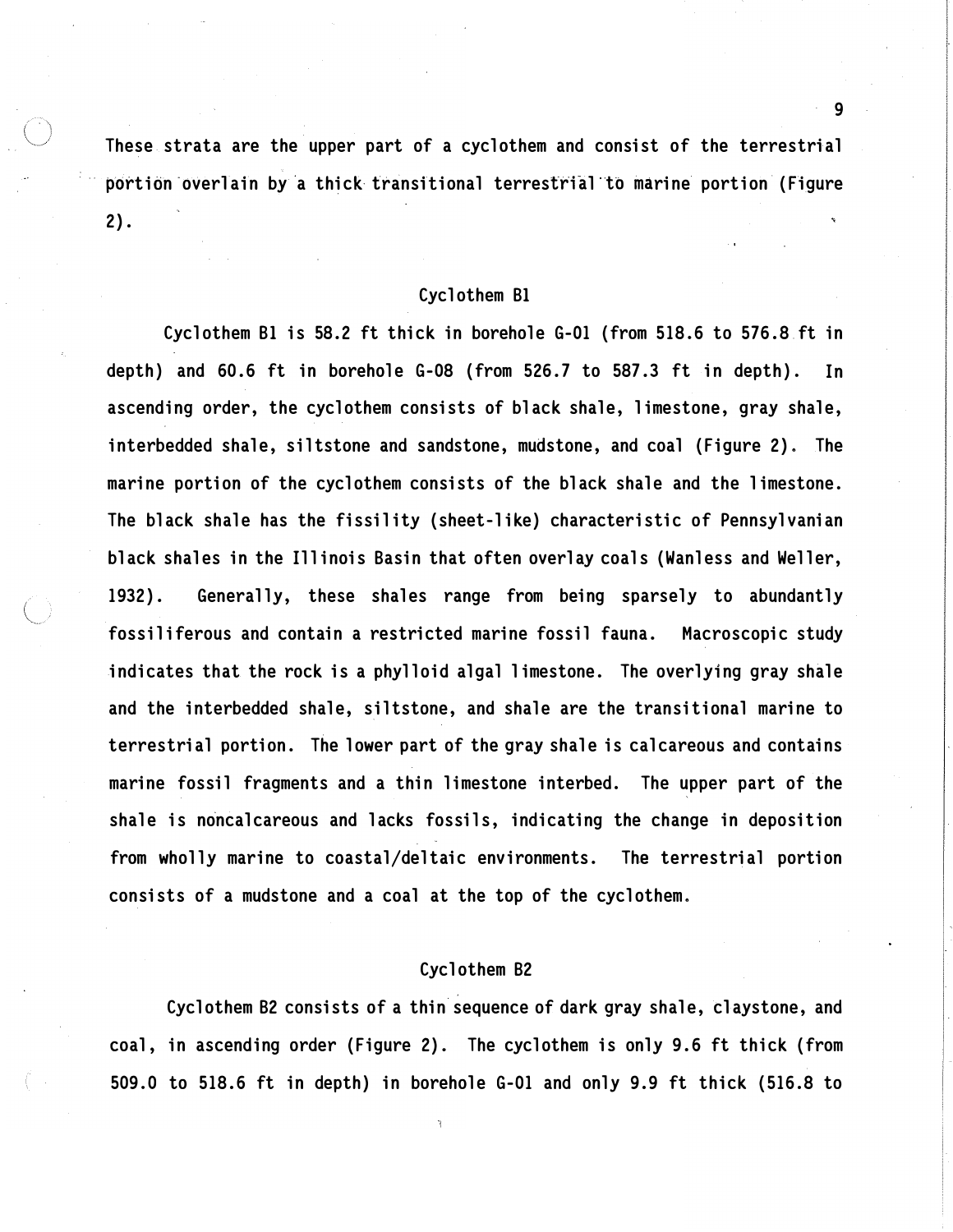These strata are the upper part of a cyclothem and consist of the terrestrial portion overlain by a thick transitional terrestrial to marine portion (Figure 2).

### Cyclothem Bl

Cyclothem Bl is 58.2 ft thick in borehole G-01 (from 518. 6 to 576.8 ft in depth) and 60.6 ft in borehole G-08 (from 526.7 to 587.3 ft in depth). In ascending order, the cyclothem consists of black shale, limestone, gray shale, interbedded shale, siltstone and sandstone, mudstone, and coal (Figure 2). The marine portion of the cyclothem consists of the black shale and the limestone. The black shale has the fissility (sheet-like) characteristic of Pennsylvanian black shales in the Illinois Basin that often overlay coals (Wanless and Weller, 1932). Generally, these shales range from being sparsely to abundantly fossiliferous and contain a restricted marine fossil fauna. Macroscopic study indicates that the rock is a phylloid algal limestone. The overlying gray shale and the interbedded shale, siltstone, and shale are the transitional marine to terrestrial portion. The lower part of the gray shale is calcareous and contains marine fossil fragments and a thin limestone interbed. The upper part of the shale is noncalcareous and lacks fossils, indicating the change in deposition from wholly marine to coastal/deltaic environments. The terrestrial portion consists of a mudstone and a coal at the top of the cyclothem.

# Cyclothem B2

Cyclothem B2 consists of a thin sequence of dark gray shale, claystone, and coal, in ascending order (Figure 2). The cyclothem is only 9.6 ft thick (from 509.0 to 518.6 ft in depth) in borehole G-01 and only 9.9 ft thick (516.8 to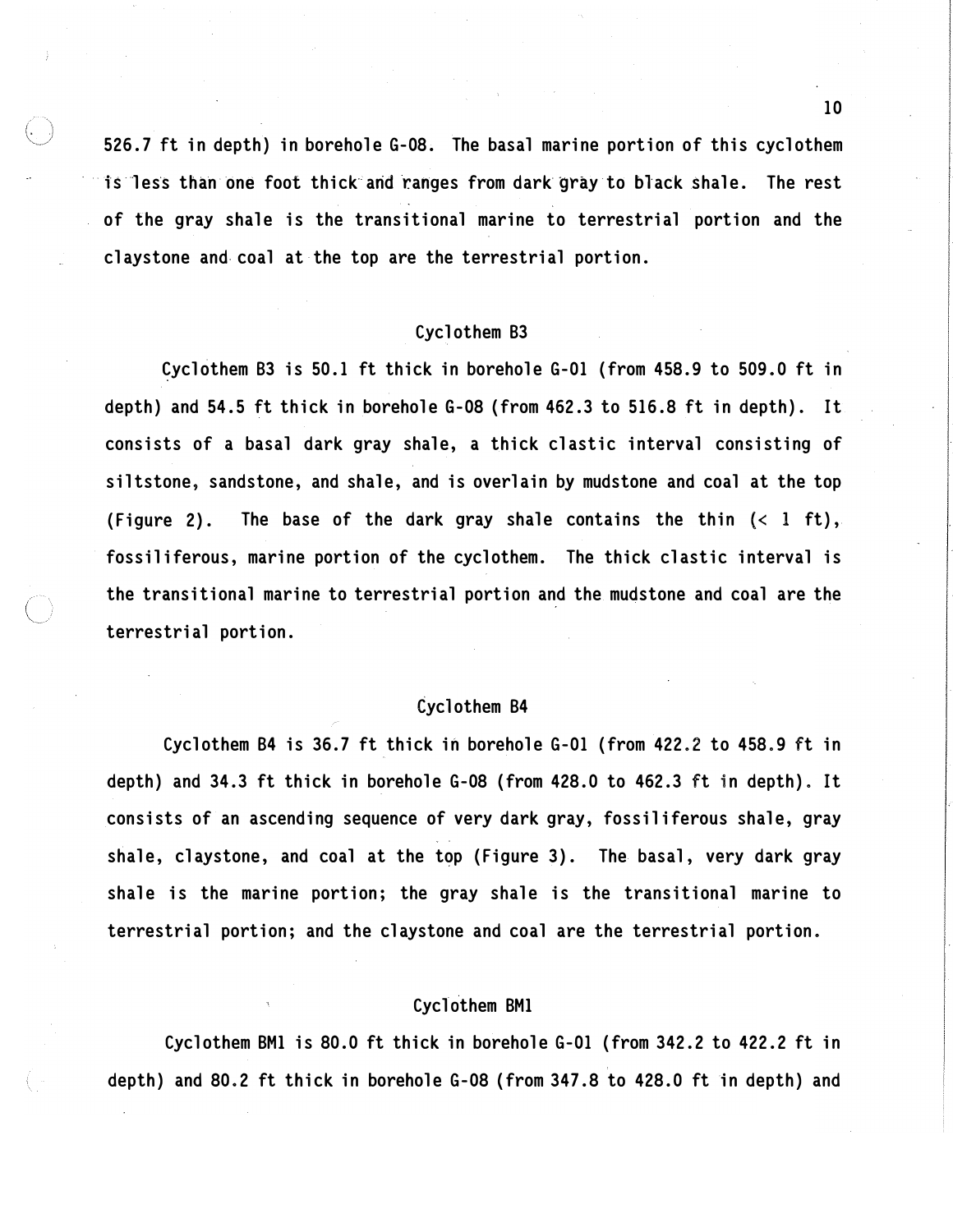526.7 ft in depth) in borehole G-08. The basal marine portion of this cyclothem is less than one foot thick and ranges from dark gray to black shale. The rest of the gray shale is the transitional marine to terrestrial portion and the claystone and coal at the top are the terrestrial portion.

# Cyclothem B3

�yclothem B3 is 50.1 ft thick in borehole G-01 (from 458.9 to 509.0 ft in depth) and 54.5 ft thick in borehole G-08 (from 462.3 to 516.8 ft in depth). It consists of a basal dark gray shale, a thick elastic interval consisting of siltstone, sandstone, and shale, and is overlain by mudstone and coal at the top (Figure 2). The base of the dark gray shale contains the thin  $( $1$  ft),$ fossiliferous, marine portion of the cyclothem. The thick elastic interval is the transitional marine to terrestrial portion and the mudstone and coal are the terrestrial portion.

### Cyclothem B4

Cyclothem B4 is 36.7 ft thick in borehole G-01 (from 422.2 to 458. 9 ft in depth) and 34.3 ft thick in borehole G-08 (from 428.0 to 462.3 ft in depth). It consists of an ascending sequence of very dark gray, fossiliferous shale, gray shale, claystone, and coal at the top (Figure 3). The basal, very dark gray shale is the marine portion; the gray shale is the transitional marine to terrestrial portion; and the claystone and coal are the terrestrial portion.

# Cyclothem BMl

Cyclothem BMl is 80.0 ft thick in borehole G-01 (from 342.2 to 422.2 ft in depth) and 80.2 ft thick in borehole G-08 (from 347.8 to 428.0 ft in depth) and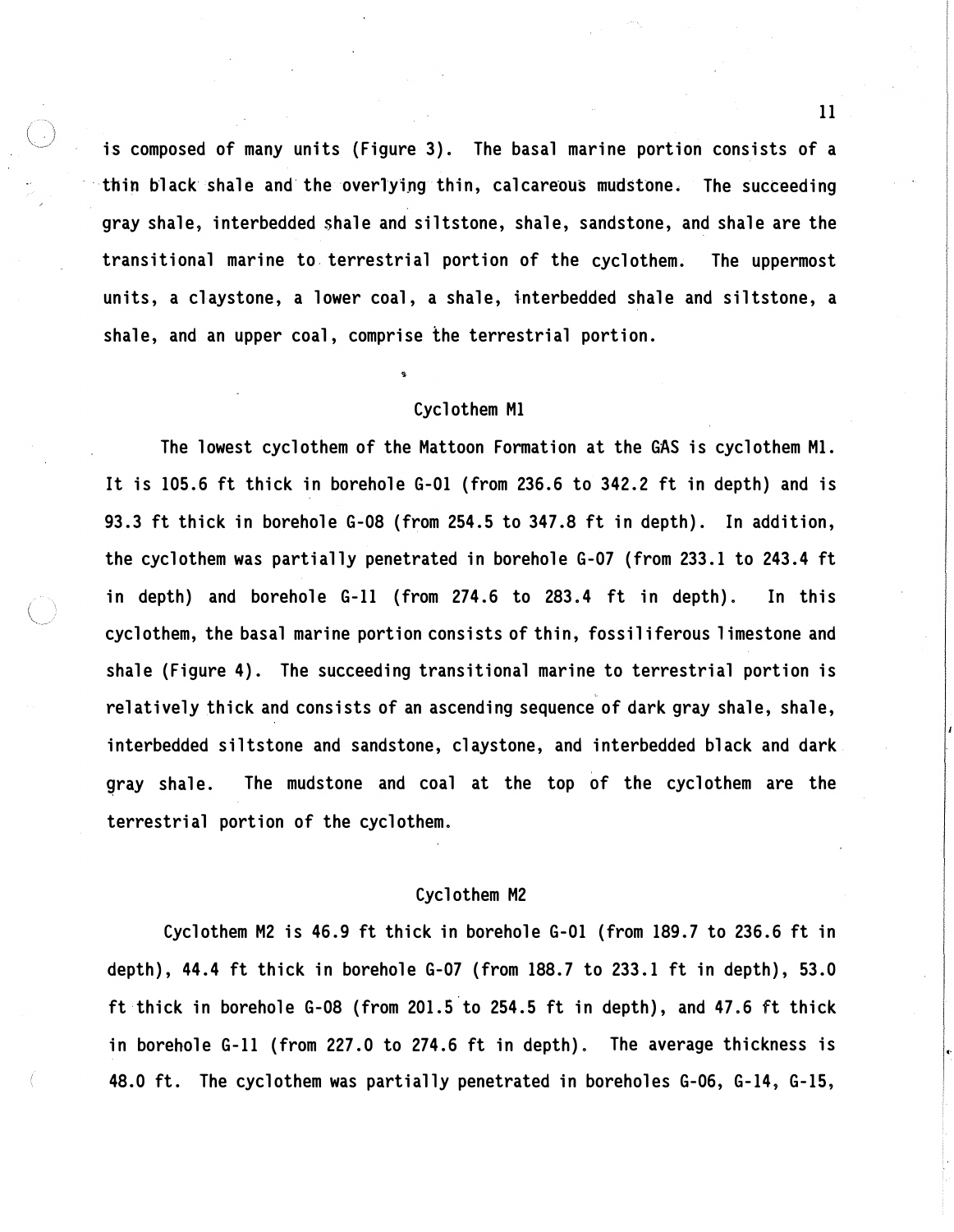is composed of many units {Figure 3). The basal marine portion consists of a thin black shale and the overlying thin, calcareous mudstone. The succeeding gray shale, interbedded shale and siltstone, shale, sandstone, and shale are the transitional marine to terrestrial portion of the cyclothem. The uppermost units, a claystone, a lower coal, a shale, interbedded shale and siltstone, a shale, and an upper coal, comprise the terrestrial portion.

### Cyclothem Ml

The lowest cyclothem of the Mattoon Formation at the GAS is cyclothem Ml. It is 105.6 ft thick in borehole G-01 (from 236.6 to 342.2 ft in depth) and is 93.3 ft thick in borehole G-08 (from 254.5 to 347.8 ft in depth). In addition, the cyclothem was partially penetrated in borehole G-07 (from 233.1 to 243.4 ft in depth) and borehole G-11 (from 274.6 to 283.4 ft in depth). In this cyclothem, the basal marine portion consists of thin, fossiliferous 1 imestone and shale (Figure 4). The succeeding transitional marine to terrestrial portion is relatively thick and consists of an ascending sequence of dark gray shale, shale, interbedded siltstone and sandstone, claystone, and interbedded black and dark gray shale. The mudstone and coal at the top of the cyclothem are the terrestrial portion of the cyclothem.

#### Cyclothem M2

Cyclothem M2 is 46.9 ft thick in borehole G-01 (from 189.7 to 236.6 ft in depth), 44.4 ft thick in borehole G-07 (from 188.7 to 233.1 ft in depth), 53.0 ft thick in borehole G-08 (from 201.5 to 254.5 ft in depth}, and 47.6 ft thick in borehole G-11 (from 227.0 to 274.6 ft in depth). The average thickness is 48.0 ft. The cyclothem was partially penetrated in boreholes G-06, G-14, G-15,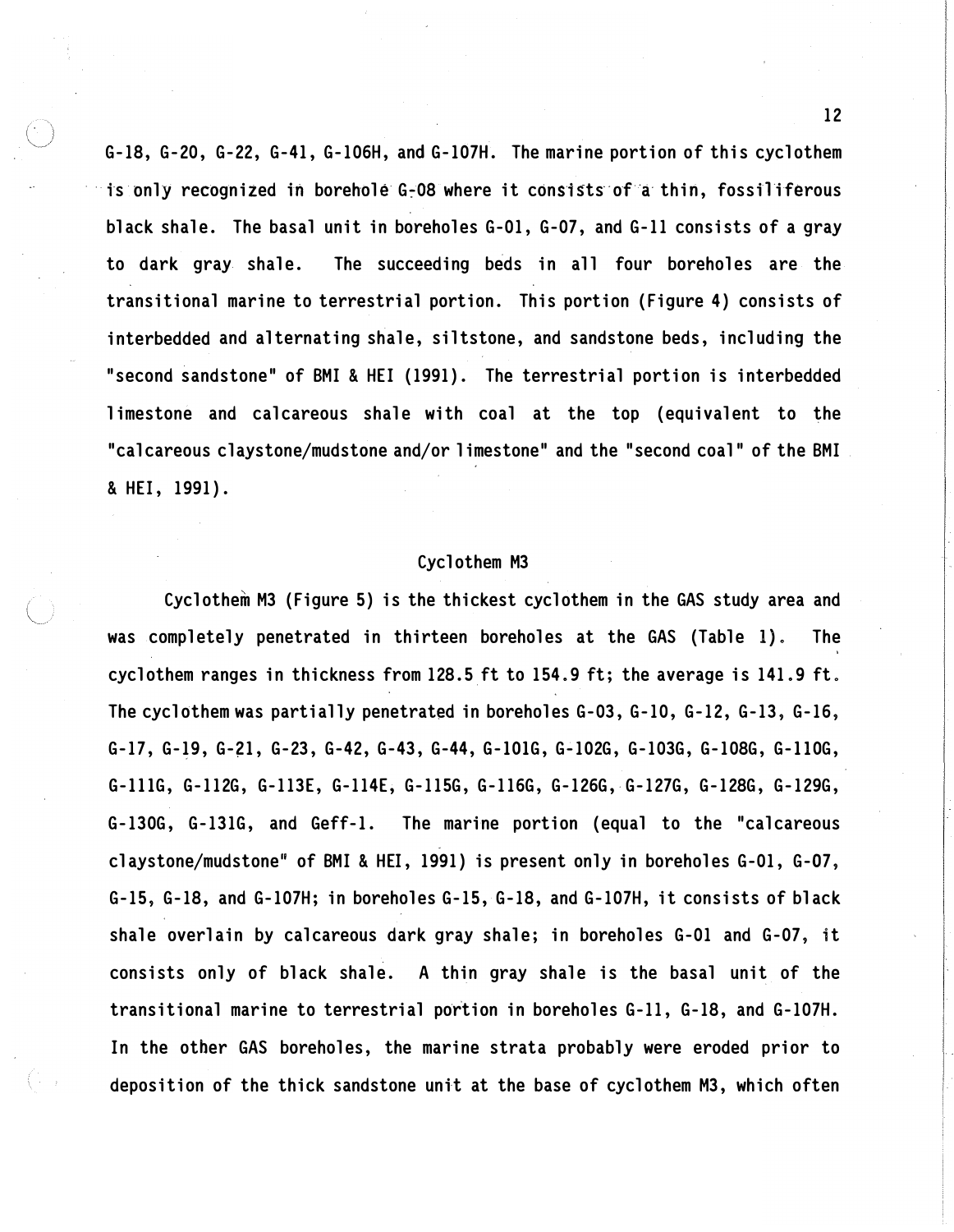G-18, G-20, G-22, G-41, G-106H, and G-107H. The marine portion of this cyclothem is only recognized in borehole G-08 where it consists of a thin, fossiliferous black shale. The basal unit in boreholes G-01, G-07, and G-11 consists of a gray to dark gray shale. The succeeding beds in all four boreholes are the transitional marine to terrestrial portion. This portion (Figure 4) consists of interbedded and alternating shale, siltstone, and sandstone beds, including the "second sandstone" of BMI & HEI (1991). The terrestrial portion is interbedded limestone and calcareous shale with coal at the top (equivalent to the "calcareous claystone/mudstone and/or limestone" and the "second coal" of the BMI & HEI, 1991).

## Cyclothem M3

Cyclothem M3 (Figure 5) is the thickest cyclothem in the GAS study area and was completely penetrated in thirteen boreholes at the GAS (Table l). The cyclothem ranges in thickness from  $128.5$  ft to  $154.9$  ft; the average is  $141.9$  ft. The cyclothem was partially penetrated in boreholes G-03, G-10, G-12, G-13, G-16, G-17, G-19, G-�l, G-23, G-42, G-43, G-44, G-lOlG, G-102G, G-103G, G-108G, G-llOG, G-lllG, G-112G, G-113E, G-114E, G-115G, G-116G, G-126G, G-127G, G-128G, G-129G, G-130G, G-131G, and Geff-1. The marine portion (equal to the "calcareous claystone/mudstone" of BMI & HEI, 1991) is present only in boreholes G-01, G-07, G-15, G-18, and G-107H; in boreholes G-15, G-18, and G-107H, it consists of black shale overlain by calcareous dark gray shale; in boreholes G-01 and G-07, it consists only of black shale. A thin gray shale is the basal unit of the transitional marine to terrestrial portion in boreholes G-11, G-18, and G-107H. In the other GAS boreholes, the marine strata probably were eroded prior to deposition of the thick sandstone unit at the base of cyclothem M3, which often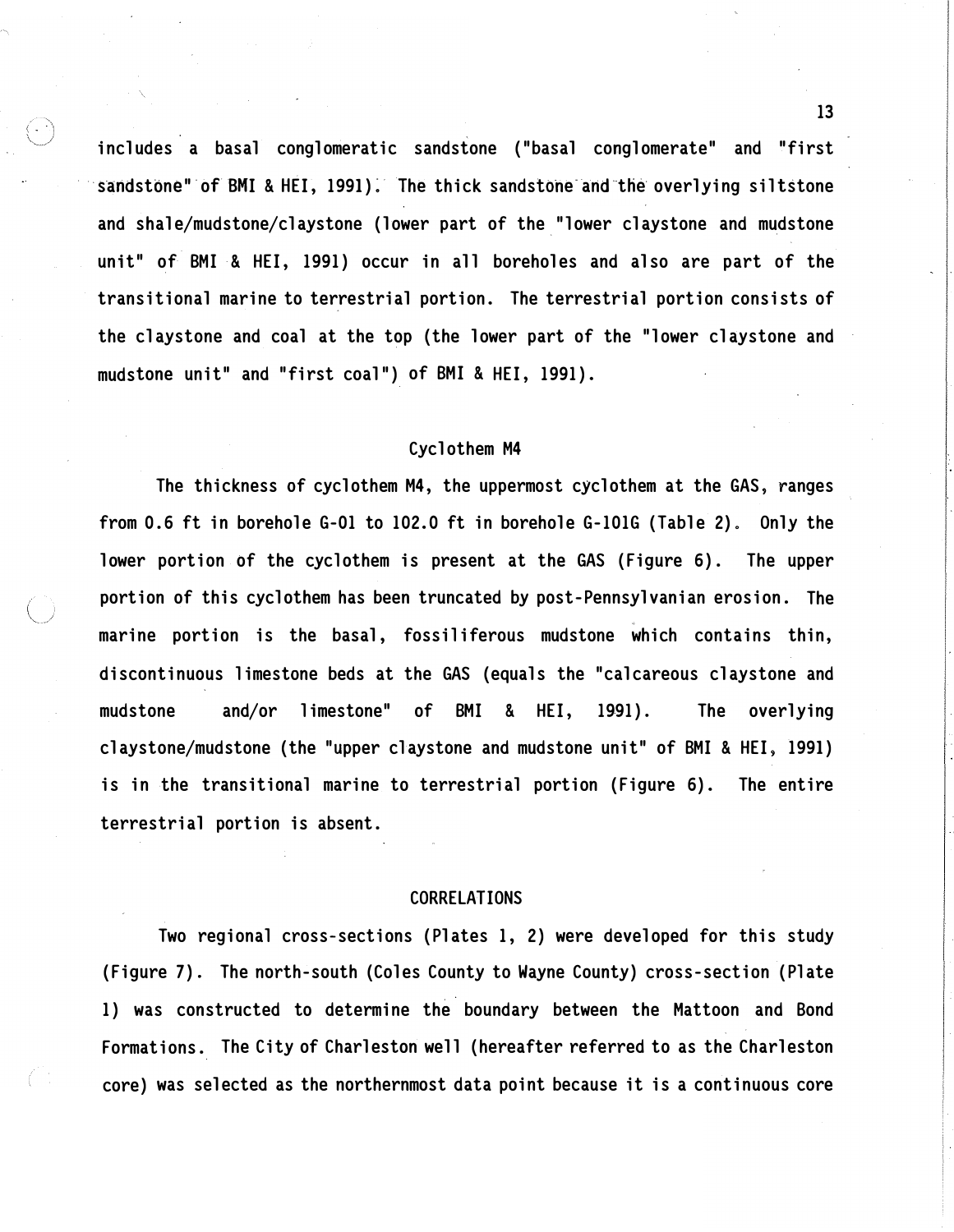includes a basal conglomeratic sandstone ("basal conglomerate" and "first sandstone" of BMI & HEI, 1991). The thick sandstone and the overlying siltstone and shale/mudstone/claystone (lower part of the\_"lower claystone and mudstone unit" of BMI & HEI, 1991) occur in all boreholes and also are part of the transitional marine to terrestrial portion. The terrestrial portion consists of the claystone and coal at the top (the lower part of the "lower claystone and mudstone unit" and "first coal") of BMI & HEI, 1991).

# Cyclothem M4

The thickness of cyclothem M4, the uppermost cyclothem at the GAS, ranges from 0.6 ft in borehole G-01 to 102.0 ft in borehole G-101G (Table 2). Only the lower portion of the cyclothem is present at the GAS (Figure 6). The upper portion of this cyclothem has been truncated by post-Pennsylvanian erosion. The marine portion is the basal, fossiliferous mudstone which contains thin, discontinuous limestone beds at the GAS (equals the "calcareous claystone and mudstone and/or limestone" of BMI & HEI, 1991). The overlying claystone/mudstone (the "upper claystone and mudstone unit" of BMI & HEI� 1991) is in the transitional marine to terrestrial portion (Figure 6). The entire terrestrial portion is absent.

#### CORRELATIONS

Two regional cross-sections (Plates 1, 2) were developed for this study (Figure 7). The north-south (Coles County to Wayne County) cross-section (Plate 1) was constructed to determine the boundary between the Mattoon and Bond Formations. The City of Charleston well (hereafter referred to as the Charleston core) was selected as the northernmost data point because it is a continuous core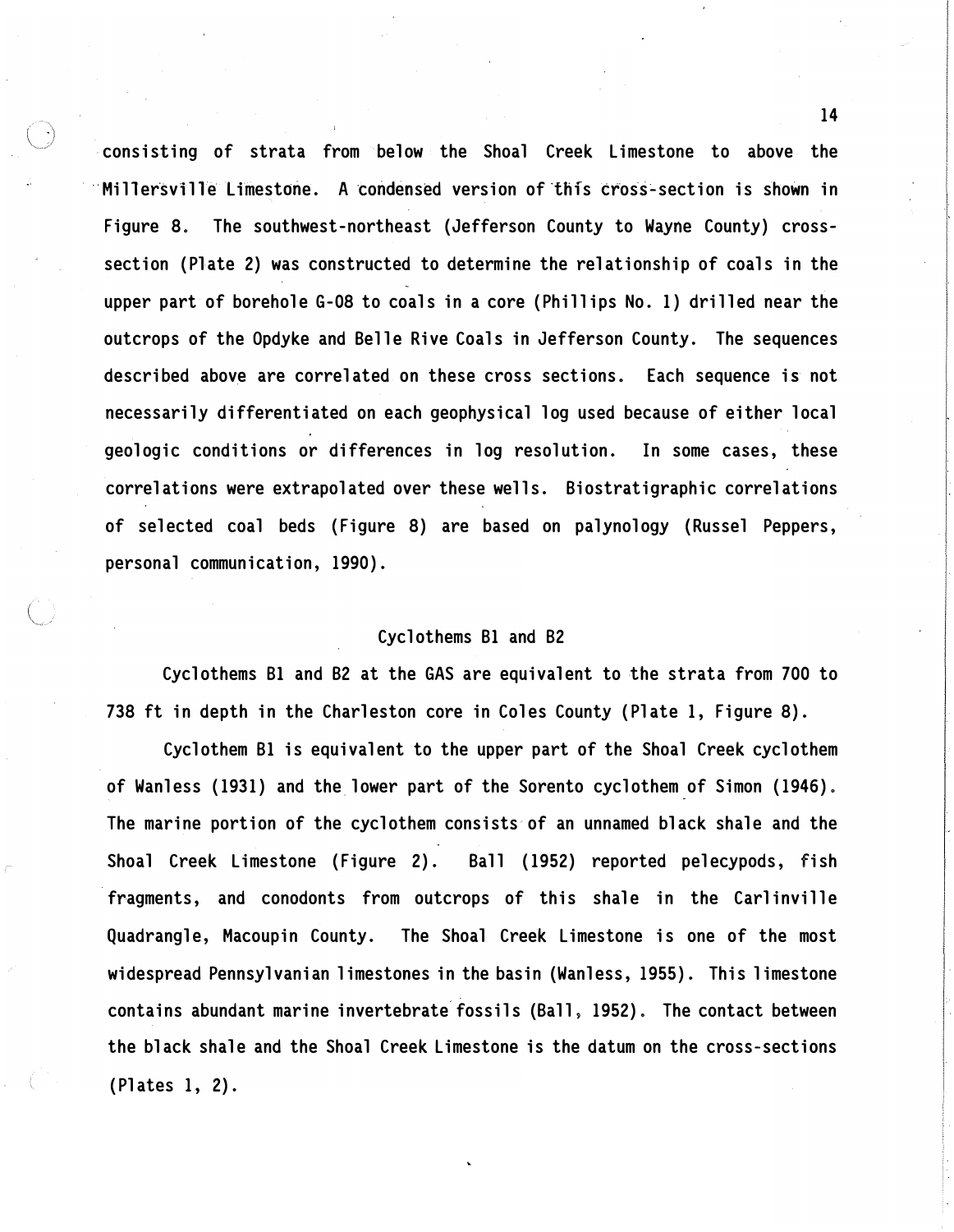consisting of strata from below the Shoal Creek Limestone to above the Millersville Limestone. A condensed version of this cross-section is shown in Figure 8. The southwest-northeast (Jefferson County to Wayne County) crosssection (Plate 2) was constructed to determine the relationship of coals in the upper part of borehole G-08 to coals in a core (Phillips No. 1) drilled near the outcrops of the Opdyke and Belle Rive Coals in Jefferson County. The sequences described above are correlated on these cross sections. Each sequence is not necessarily differentiated on each geophysical log used because of either local geologic conditions or differences in log resolution. In some cases, these correlations were extrapolated over these wells. Biostratigraphic correlations of selected coal beds (Figure 8) are based on palynology (Russel Peppers, personal communication, 1990).

# Cyclothems Bl and B2

Cyclothems Bl and B2 at the GAS are equivalent to the strata from 700 to 738 ft in depth in the Charleston core in Coles County (Plate 1, Figure 8).

Cyclothem Bl is equivalent to the upper part of the Shoal Creek cyclothem of Wanless (1931) and the lower part of the Sorento cyclothem of Simon (1946). The marine portion of the cyclothem consists of an unnamed black shale and the Shoal Creek Limestone (Figure 2). Ball (1952) reported pelecypods, fish fragments, and conodonts from outcrops of this shale in the Carlinville Quadrangle, Macoupin County. The Shoal Creek Limestone is one of the most widespread Pennsylvanian limestones in the basin (Wanless, 1955). This limestone contains abundant marine invertebrate fossils (Ball, 1952). The contact between the black shale and the Shoal Creek Limestone is the datum on the cross-sections (Plates 1, 2).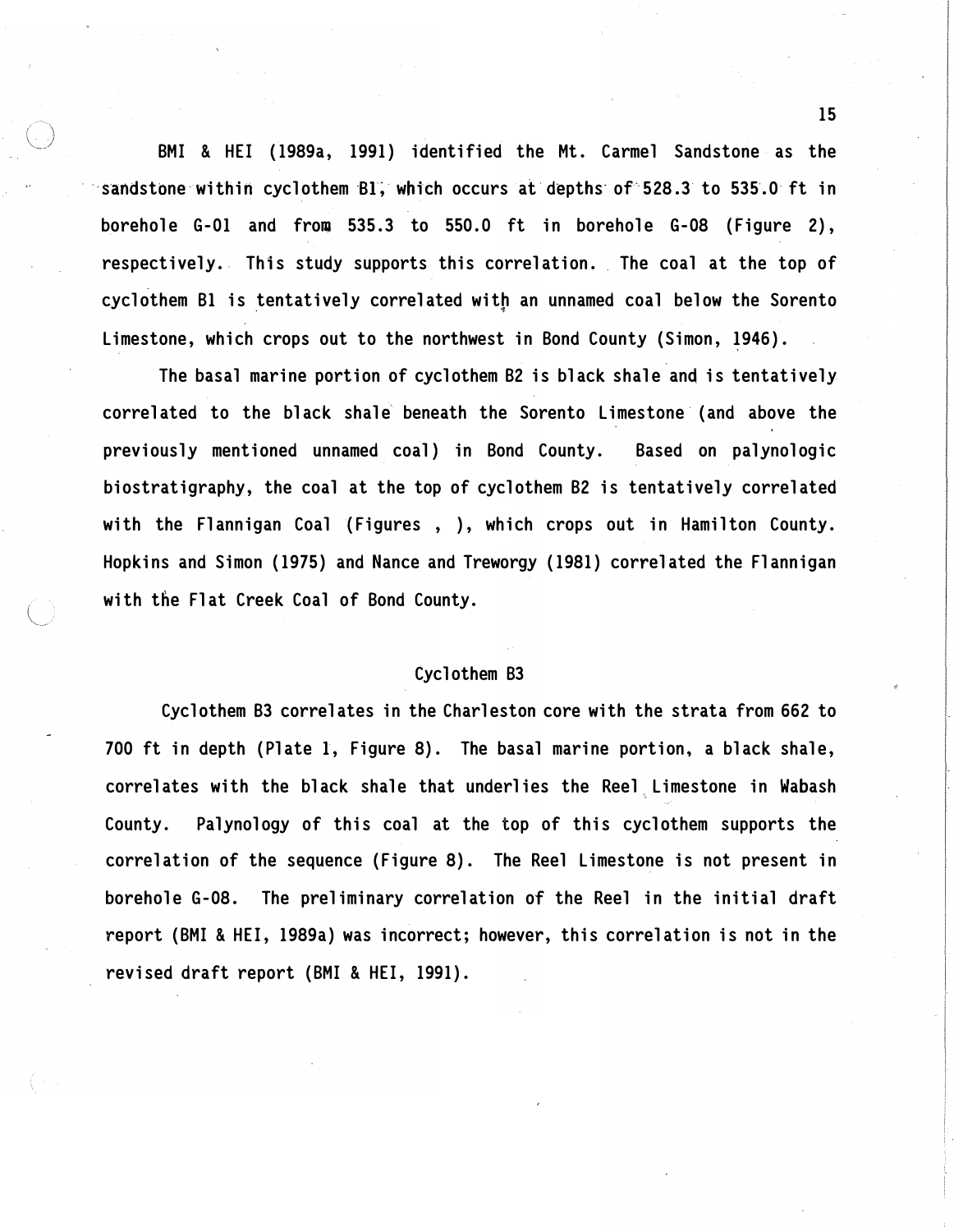BMI & HEI (1989a, 1991) identified the Mt. Carmel Sandstone as the sandstone within cyclothem Bl, which occurs at depths of 528.3 to 535.0 ft in borehole G-01 and from 535.3 to 550. 0 ft in borehole G-08 (Figure 2), respectively. This study supports this correlation. The coal at the top of cyclothem B1 is tentatively correlated with an unnamed coal below the Sorento Limestone, which crops out to the northwest in Bond County (Simon, 1946).

The basal marine portion of cyclothem B2 is black shale and is tentatively correlated to the black shale beneath the Sorento Limestone (and above the previously mentioned unnamed coal) in Bond County. Based on palynologic biostratigraphy, the coal at the top of cyclothem B2 is tentatively correlated with the Flannigan Coal (Figures, ), which crops out in Hamilton County. Hopkins and Simon (1975) and Nance and Treworgy (1981) correlated the Flannigan with the Flat Creek Coal of Bond County.

# Cyclothem B3

Cyclothem B3 correlates in the Charleston core with the strata from 662 to 700 ft in depth (Plate 1, Figure 8). The basal marine portion, a black shale, correlates with the black shale that underlies the Reel Limestone in Wabash County. Palynology of this coal at the top of this cyclothem supports the correlation of the sequence (Figure 8). The Reel Limestone is not present in borehole G-08. The preliminary correlation of the Reel in the initial draft report (BMI & HEI, 1989a) was incorrect; however, this correlation is not in the revised draft report (BMI & HEI, 1991).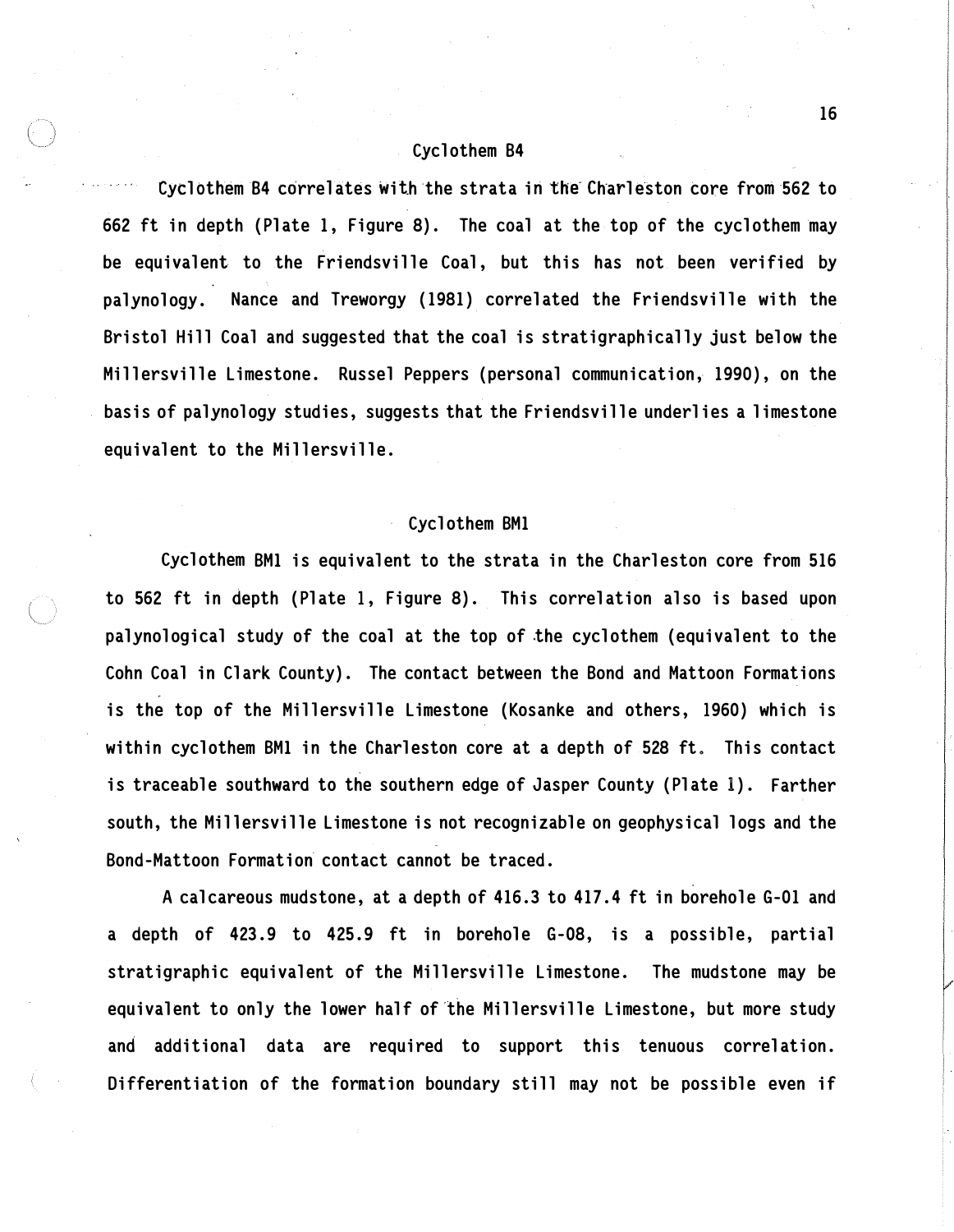### Cyclothem 84

Cyclothem B4 correlates with the strata in the Charleston core from 562 to 662 ft in depth (Plate 1, Figure 8). The coal at the top of the cyclothem may be equivalent to the Friendsville Coal, but this has not been verified by palynology. Nance and Treworgy (1981) correlated the Friendsville with the Bristol Hill Coal and suggested that the coal is stratigraphically just below the Millersville Limestone. Russel Peppers (personal communication, 1990), on the basis of palynology studies, suggests that the Friendsville underlies a limestone equivalent to the Millersville.

# Cyclothem BMl

Cyclothem BMl is equivalent to the strata in the Charleston core from 516 to 562 ft in depth (Plate 1, Figure 8). This correlation also is based upon palynological study of the coal at the top of �he cyclothem (equivalent to the Cohn Coal in Clark County). The contact between the Bond and Mattoon Formations is the top of the Millersville Limestone (Kosanke and others, 1960) which is within cyclothem BMl in the Charleston core at a depth of 528 ft. This contact is traceable southward to the southern edge of Jasper County (Plate 1). Farther south, the Millersville Limestone is not recognizable on geophysical logs and the Bond-Mattoon Formation contact cannot be traced.

A calcareous mudstone, at a depth of 416.3 to 417. 4 ft in borehole G-01 and a depth of 423. 9 to 425. 9 ft in borehole G-08, is a possible, partial stratigraphic equivalent of the Millersville Limestone. The mudstone may be equivalent to only the lower half of the Millersville Limestone, but more study and additional data are required to support this tenuous correlation. Differentiation of the formation boundary still may not be possible even if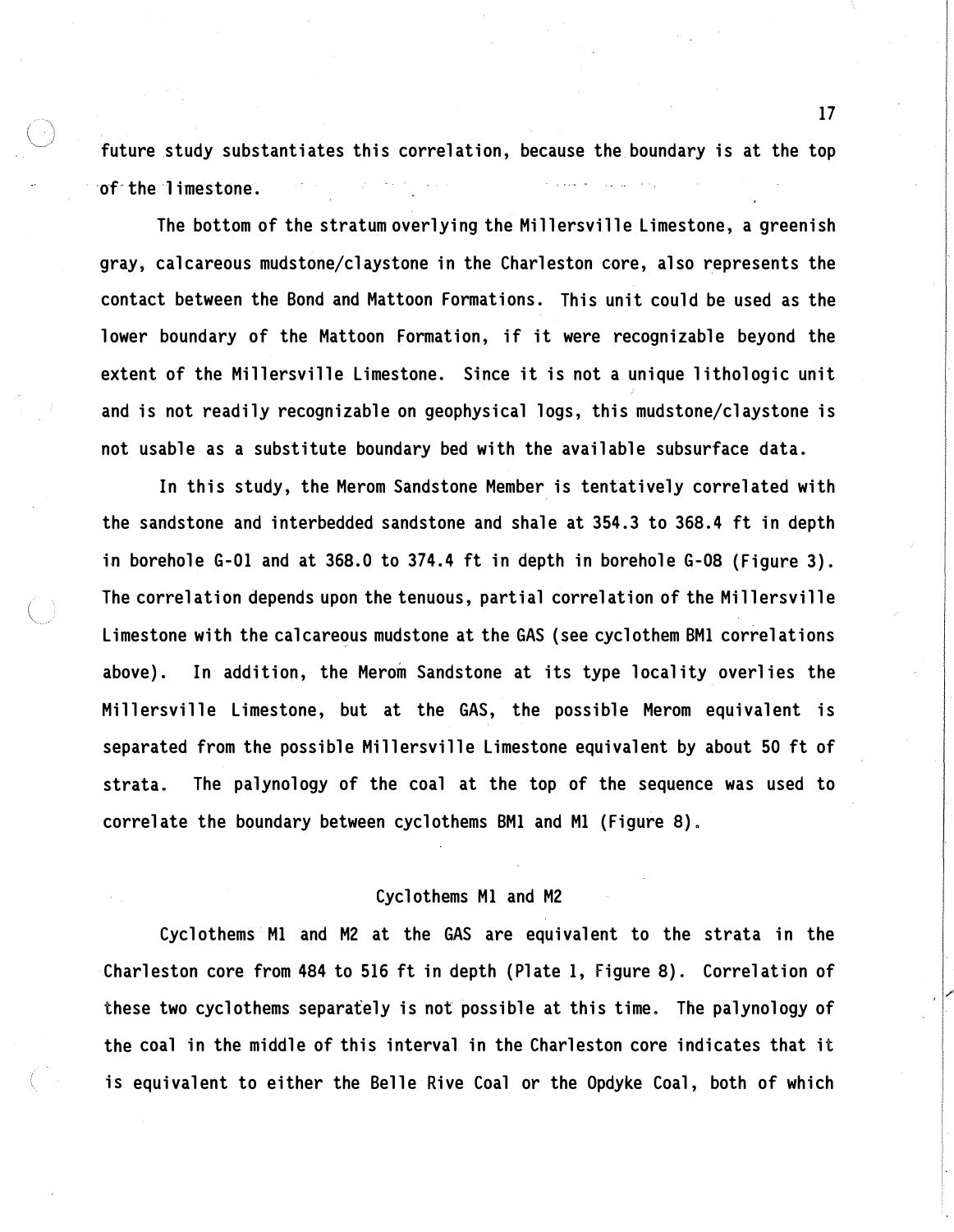future study substantiates this correlation, because the boundary is at the top of the limestone.

The bottom of the stratum overlying the Millersville limestone, a greenish gray, calcareous mudstone/claystone in the Charleston core, also represents the contact between the Bond and Mattoon Formations. This unit could be used as the lower boundary of the Mattoon Formation, if it were recognizable beyond the extent of the Millersville Limestone. Since it is not a unique lithologic unit and is not readily recognizable on geophysical logs, this mudstone/claystone is not usable as a substitute boundary bed with the available subsurface data.

In this study, the Merom Sandstone Member is tentatively correlated with the sandstone and interbedded sandstone and shale at 354. 3 to 368. 4 ft in depth in borehole G-01 and at 368.0 to 374.4 ft in depth in borehole G-08 (Figure 3). The correlation depends upon the tenuous, partial correlation of the Millersville Limestone with the calcareous mudstone at the GAS (see cyclothem BMl correlations above). In addition, the Merom Sandstone at its type locality overlies the Millersville Limestone, but at the GAS, the possible Merom equivalent is separated from the possible Millersville Limestone equivalent by about 50 ft of strata. The palynology of the coal at the top of the sequence was used to correlate the boundary between cyclothems BMl and Ml (Figure 8).

# Cyclothems Ml and M2

Cyclothems Ml and M2 at the GAS are equivalent to the strata in the Charleston core from 484 to 516 ft in depth {Plate 1, Figure 8). Correlation of these two cyclothems separately is not possible at this time. The palynology of the coal in the middle of this interval in the Charleston core indicates that it is equivalent to either the Belle Rive Coal or the Opdyke Coal, both of which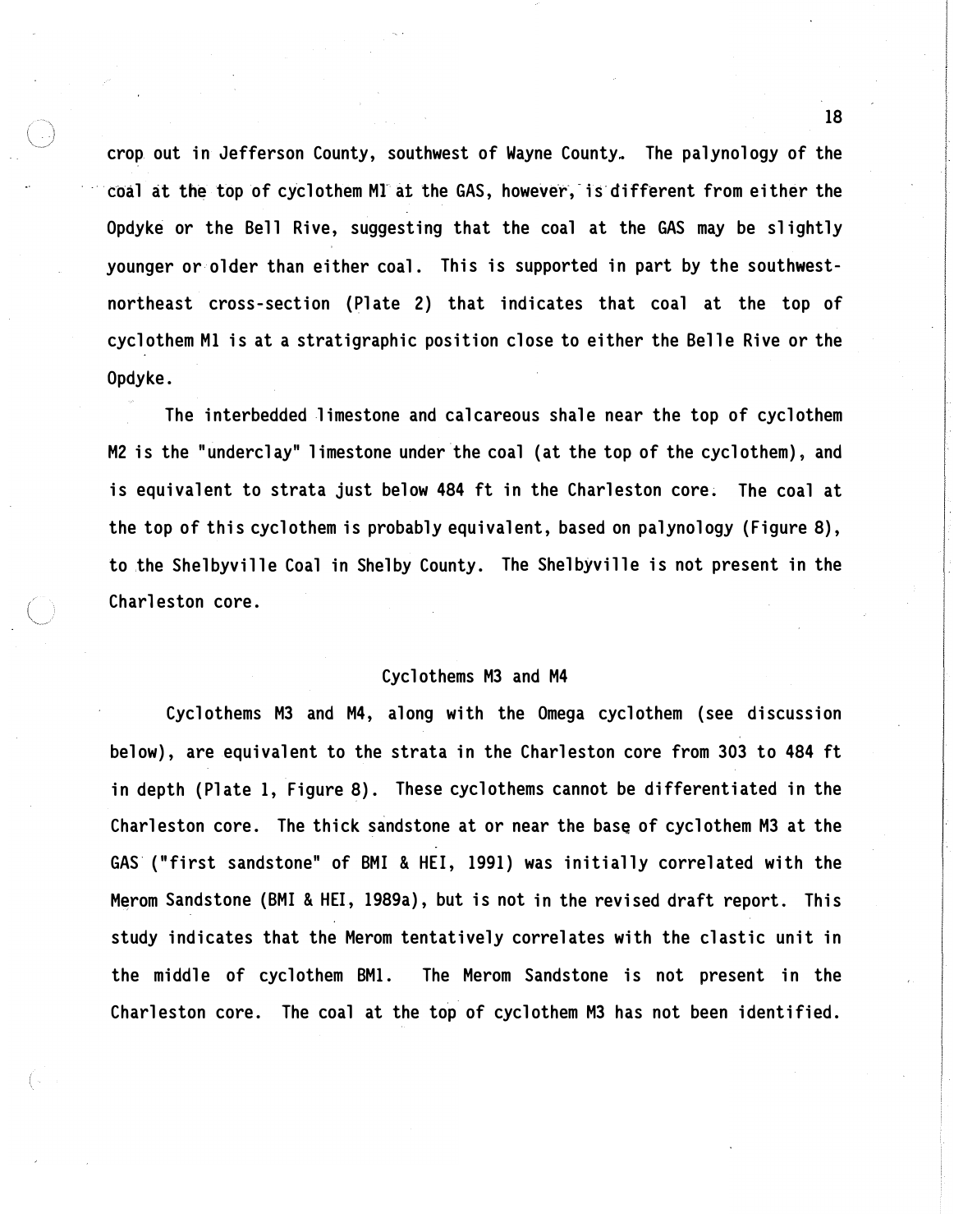crop. out in Jefferson County, southwest of Wayne County. The palynology of the coal at the top of cyclothem M1 at the GAS, however, is different from either the Opdyke or the Bell Rive, suggesting that the coal at the GAS may be slightly younger or older than either coal. This is supported in part by the southwestnortheast cross-section (Plate 2) that indicates that coal at the top of cyclothem Ml is at a stratigraphic position close to either the Belle Rive or the Opdyke.

The interbedded limestone and calcareous shale near the top of cyclothem M2 is the "underclay" limestone under the coal (at the top of the cyclothem), and is equivalent to strata just below 484 ft in the Charleston core. The coal at the top of this cyclothem is probably equivalent, based on palynology (Figure 8), to the Shelbyville Coal in Shelby County. The Shelbyville is not present in the Charleston core.

# Cyclothems M3 and M4

Cyclothems M3 and M4, along with the Omega cyclothem (see discussion below), are equivalent to the strata in the Charleston core from 303 to 484 ft in depth (Plate 1, Figure 8). These cyclothems cannot be differentiated in the Charleston core. The thick sandstone at or near the base of cyclothem M3 at the GAS ("first sandstone" of BMI & HEI, 1991) was initially correlated with the Merom Sandstone (BMI & HEI, 1989a), but is not in the revised draft report. This study indicates that the Merom tentatively correlates with the elastic unit in the middle of cyclothem BM1. The Merom Sandstone is not present in the Charleston core. The coal at the top of cyclothem M3 has not been identified.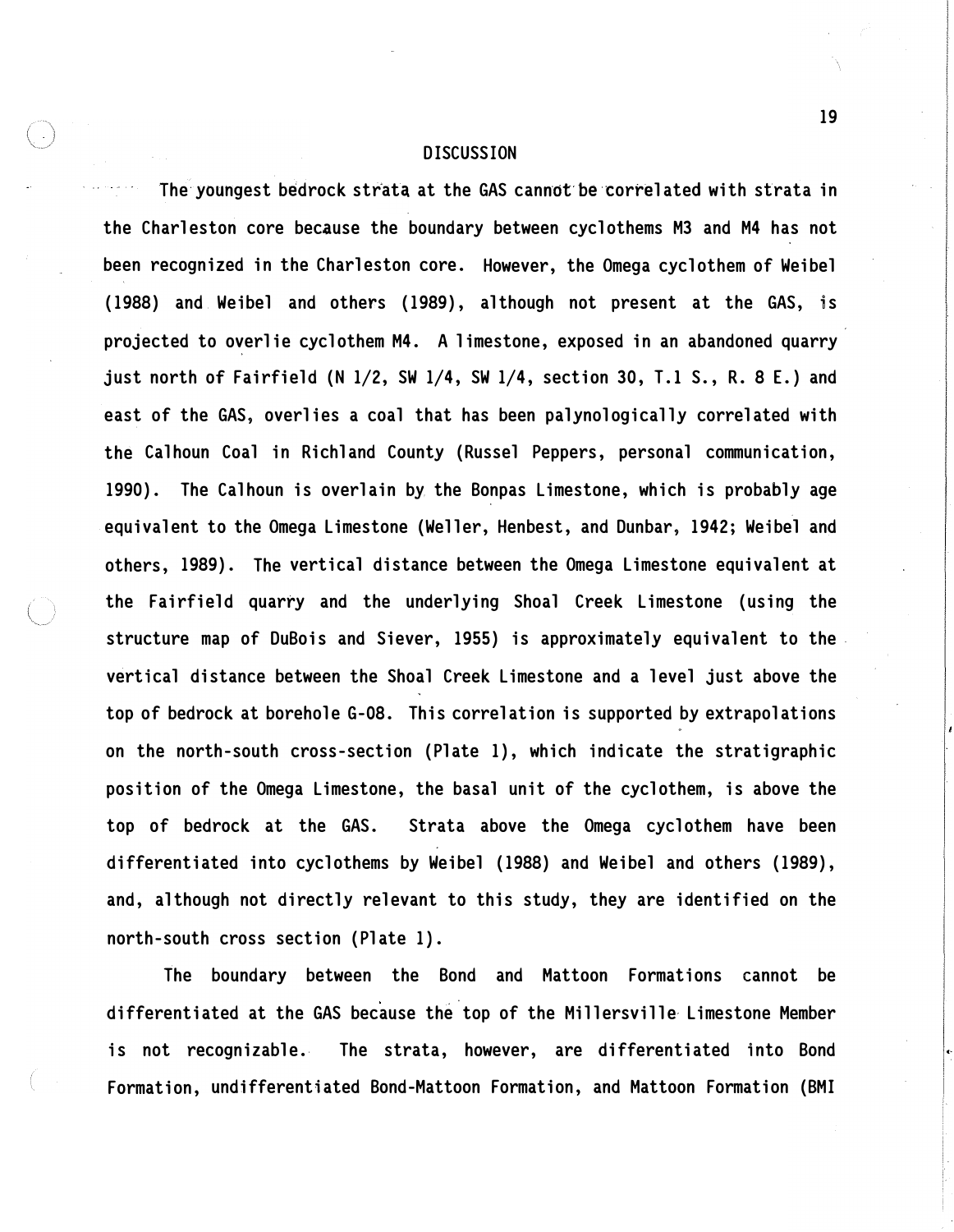#### **DISCUSSION**

The youngest bedrock strata at the GAS cannot be correlated with strata in the Charleston core because the boundary between cyclothems M3 and M4 has not been recognized in the Charleston core. However, the Omega cyclothem of Weibel (1988) and Weibel and others (1989), although not present at the GAS, is projected to overlie cyclothem M4. A limestone, exposed in an abandoned quarry just north of Fairfield (N 1/2, SW 1/4, SW 1/4, section 30, T.l S., R. 8 E.) and east of the GAS, overlies a coal that has been palynologically correlated with the Calhoun Coal in Richland County (Russel Peppers, personal communication, 1990). The Calhoun is overlain by the Bonpas Limestone, which is probably age equivalent to the Omega Limestone (Weller, Henbest, and Dunbar, 1942; Weibel and others, 1989). The vertical distance between the Omega Limestone equivalent at the Fairfield quarry and the underlying Shoal Creek Limestone (using the structure map of DuBois and Siever, 1955) is approximately equivalent to the vertical distance between the Shoal Creek Limestone and a level just above the top of bedrock at borehole G-08. This correlation is supported by extrapolations on the north-south cross-section (Plate 1), which indicate the stratigraphic position of the Omega Limestone, the basal unit of the cyclothem, is above the top of bedrock at the GAS. Strata above the Omega cyclothem have been differentiated into cyclothems by Weibel (1988) and Weibel and others (1989), and, although not directly relevant to this study, they are identified on the north-south cross section (Plate 1).

The boundary between the Bond and Mattoon Formations cannot be differentiated at the GAS because the top of the Millersville Limestone Member is not recognizable. The strata, however, are differentiated into Bond Formation, undifferentiated Bond-Mattoon Formation, and Mattoon Formation (BMI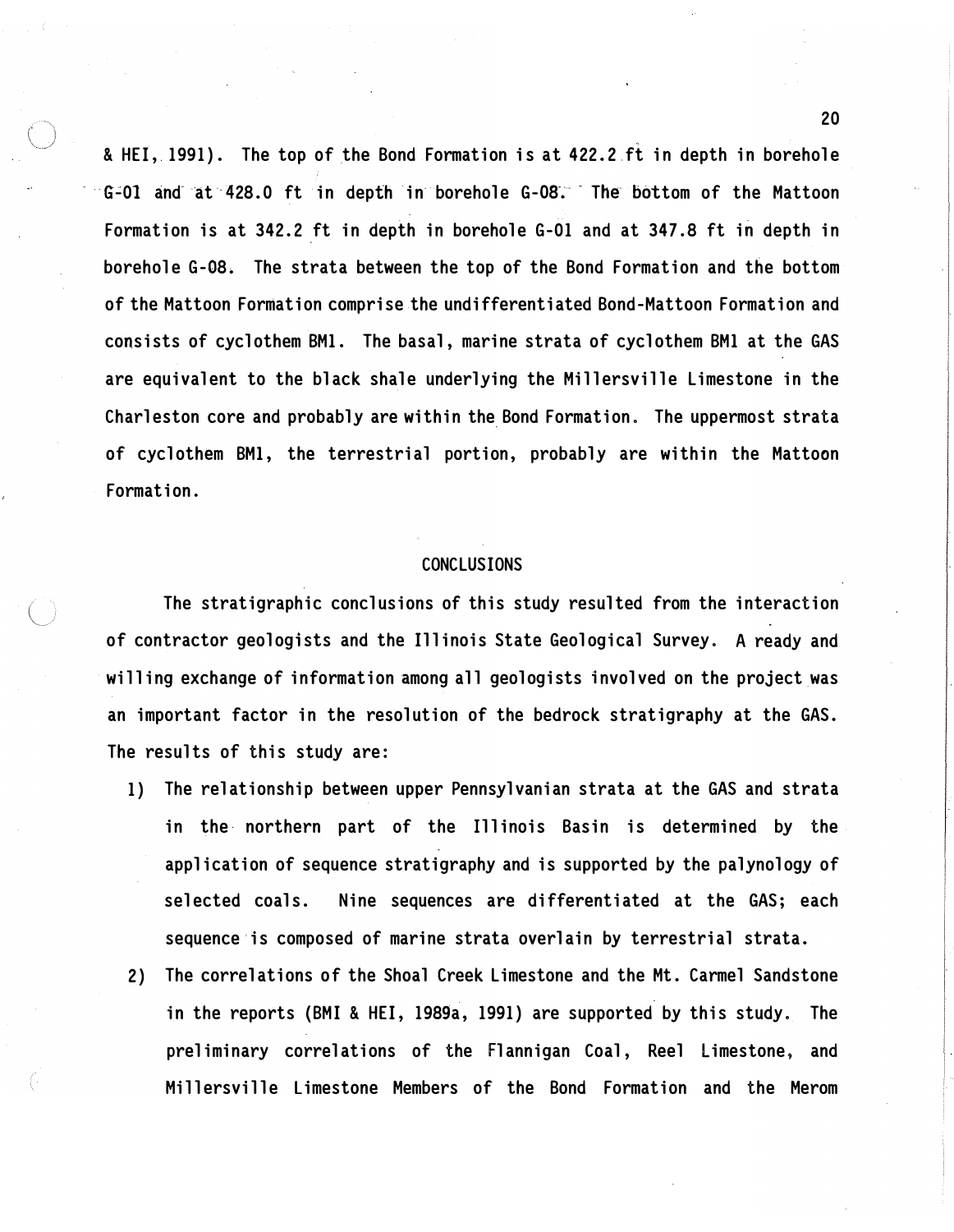& HEI, 1991). The top of the Bond Formation is at 422.2 ft in depth in borehole G-01 and at 428.0 ft in depth in borehole G-08. The bottom of the Mattoon Formation is at 342.2 ft in depth in borehole G-01 and at 347. 8 ft in depth in borehole G-08. The strata between the top of the Bond Formation and the bottom of the Mattoon Formation comprise the undifferentiated Bond-Mattoon Formation and consists of cyclothem BMl. The basal, marine strata of cyclothem BMl at the GAS are equivalent to the black shale underlying the Millersville Limestone in the Charleston core and probably are within the Bond Formation. The uppermost strata of cyclothem BMl, the terrestrial portion, probably are within the Mattoon Formation.

# CONCLUSIONS

The stratigraphic conclusions of this study resulted from the interaction of contractor geologists and the Illinois State Geological Survey. A ready and willing exchange of information among all geologists involved on the project was an important factor in the resolution of the bedrock stratigraphy at the GAS. The results of this study are:

- 1) The relationship between upper Pennsylvanian strata at the GAS and strata in the northern part of the Illinois Basin is determined by the application of sequence stratigraphy and is supported by the palynology of selected coals. Nine sequences are differentiated at the GAS; each sequence is composed of marine strata overlain by terrestrial strata.
- 2) The correlations of the Shoal Creek Limestone and the Mt. Carmel Sandstone in the reports (BMI & HEI, 1989a, 1991) are supported by this study. The preliminary correlations of the Flannigan Coal, Reel Limestone, and Millersville Limestone Members of the Bond Formation and the Merom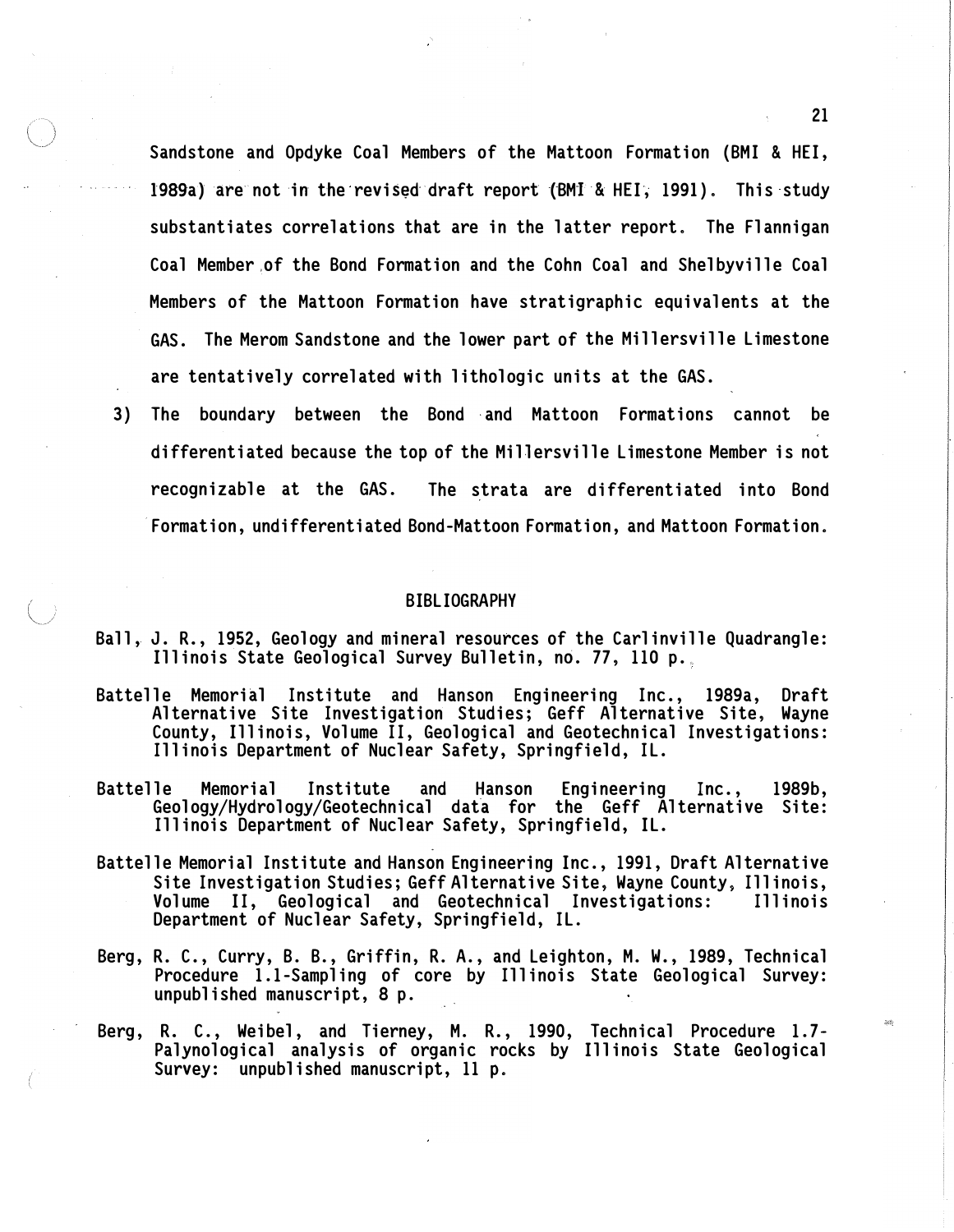Sandstone and Opdyke Coal Members of the Mattoon Formation (BMI & HEI, 1989a) are not in the revised draft report (BMI & HEI, 1991). This study substantiates correlations that are in the latter report. The Flannigan Coal Member of the Bond Formation and the Cohn Coal and Shelbyville Coal Members of the Mattoon Formation have stratigraphic equivalents at the GAS. The Merom Sandstone and the lower part of the Millersville Limestone are tentatively correlated with lithologic units at the GAS.

3) The boundary between the Bond and Mattoon Formations cannot be differentiated because the top of the Millersville Limestone Member is not recognizable at the GAS. The strata are differentiated into Bond Formation, undifferentiated Bond-Mattoon Formation, and Mattoon Formation.

#### BIBLIOGRAPHY

- Ball, J. R., I952, Geology and mineral resources of the Carlinville Quadrangle: Illinois State Geological Survey Bulletin, no. 77, 110 p.
- Battelle Memori�l Institute and Hanson Engineering Inc., 1989a, Draft Alternative Site Investigation Studies; Geff Alternative Site, Wayne County, Illinois, Volume II, Geological and Geotechnical Investigations: Illinois Department of Nuclear Safety, Springfield, IL.
- Battelle Memorial Institute and Hanson Engineering Inc., I989b, Geology/Hydrology/Geotechnical data for the Geff Alternative Site: Illinois Department of Nuclear Safety, Springfield, IL.
- Battelle Memorial Institute and Hanson Engineering Inc., I99I, Draft Alternative Site Investigation Studies; Geff Alternative Site, Wayne County, Illinois, Volume II, Geological and Geotechnical Investigations: Illinois Department of Nuclear Safety, Springfield, IL.
- Berg, R. C., Curry, B. B., Griffin, R. A., and Leighton, M. W., 1989, Technical Procedure I.I-Sampling of core by Illinois State Geological Survey: unpublished manuscript, 8 p.
- Berg, R. C., Weibel, and Tierney, M. R., I990, Technical Procedure I.7- Palynological analysis of organic rocks by Illinois State Geological Survey: unpublished manuscript, II p.

2I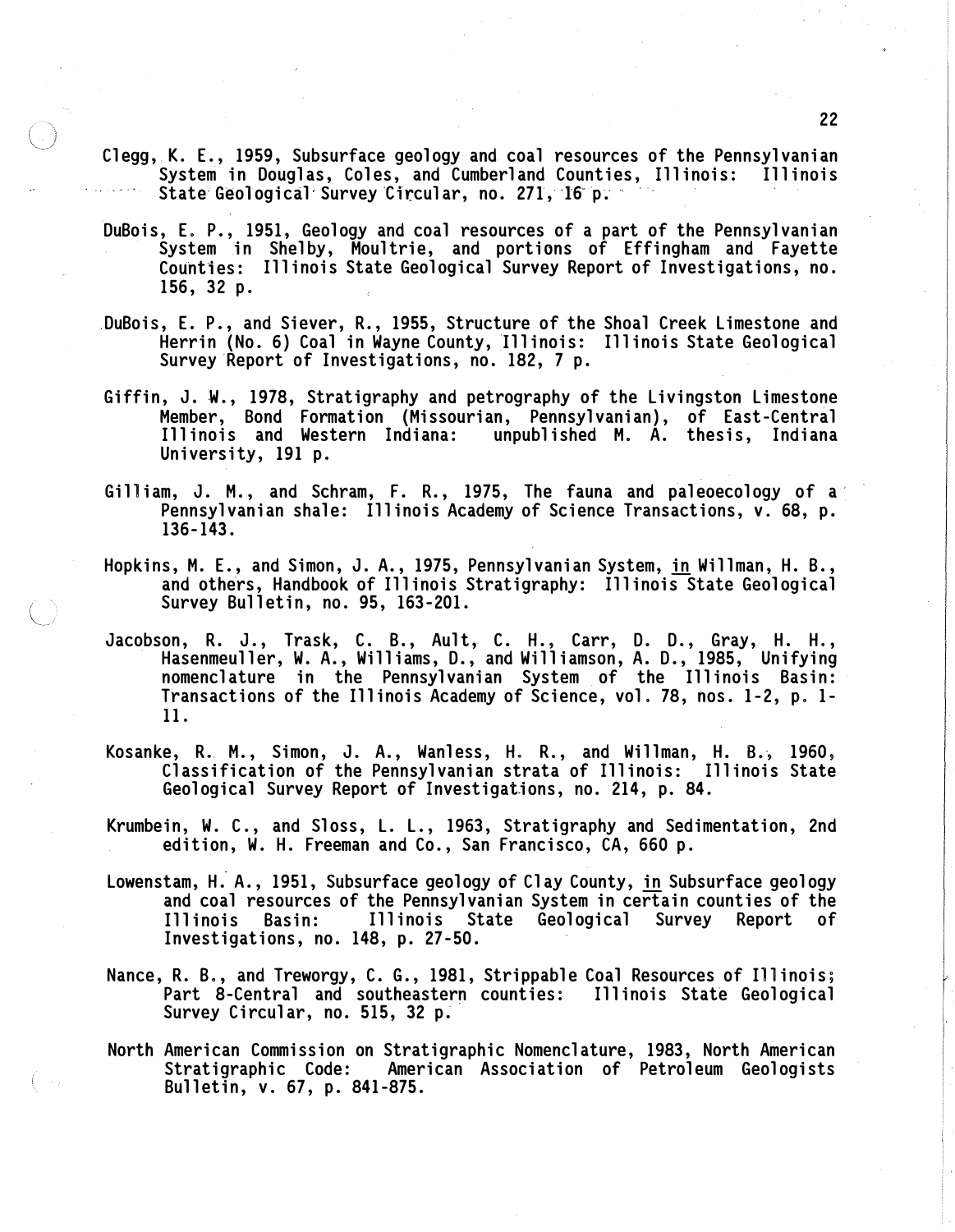- Clegg,. K. E., 1959, Subsurface geology and coal resources of the Pennsylvanian System in Douglas, Coles, and Cumberland Counties, Illinois: Illinois State Geological Survey Circular, no. 271, 16 p.  $\overline{ }$
- DuBois, E. P., 1951, Geology and coal resources of a part of the Pennsylvanian System in Shelby, Moultrie, and portions of Effingham and Fayette Counties: Illinois State Geological Survey Report of Investigations, no. 156, 32 p.
- . DuBois, E. P., and Siever, R., 1955, Structure of the Shoal Creek Limestone and Herrin (No. 6) Coal in Wayne County, Illinois: Illinois State Geological Survey Report of Investigations, no. 182, 7 p.
- Giffin, J. W., 1978, Stratigraphy and petrography of the Livingston Limestone Member, Bond Formation (Missourian, Pennsylvanian), of East-Central Illinois and Western Indiana: unpublished M. A. thesis, Indiana University, 191 p.
- Gilliam, J. M., and Schram, F. R., 1975, The fauna and paleoecology of a Pennsylvanian shale: Illinois Academy of Science Transactions, v. 68, p. 136-143.
- Hopkins, M. E., and Simon, J. A., 1975, Pennsylvanian System, in Willman, H. B., and others, Handbook of Illinois Stratigraphy: Illinois State Geological Survey Bulletin, no. 95, 163-201.
- Jacobson, R. J., Trask, C. B., Ault, C. H., Carr, D. D., Gray, H. H., Hasenmeuller, W. A., Williams, D., and Williamson, A. D., 1985, Unifying nomenclature in the Pennsylvanian System of the Illinois Basin: Transactions of the Illinois Academy of Science, vol. 78, nos. 1-2, p. 1- 11.
- Kosanke, R. M., Simon, J. A., Wanless, H. R., and Willman, H. B., 1960, Classification of the Pennsylvanian strata of Illinois: Illinois State Geological Survey Report of Investigations, no. 214, p. 84.
- Krumbein, W. C., and Sloss, L. L., 1963, Stratigraphy and Sedimentation, 2nd edition, W. H. Freeman and Co., San Francisco, CA, 660 p.
- Lowenstam, H. A., 1951, Subsurface geology of Clay County, <u>in</u> Subsurface geology and coal resources of the Pennsylvanian System in certain counties of the Illinois State Geological Survey Report of Investigations, no. 148, p. 27-50.
- Nance, R. B., and Treworgy, C. G., 1981, Strippable Coal Resources of Illinois; Part 8-Central and southeastern counties: Illinois State Geological Survey Circular, no. 515, 32 p.
- North American Commission on Stratigraphic Nomenclature, 1983, North American Stratigraphic Code: American Association of Petroleum Geologists Bulletin, v. 67, p. 841-875.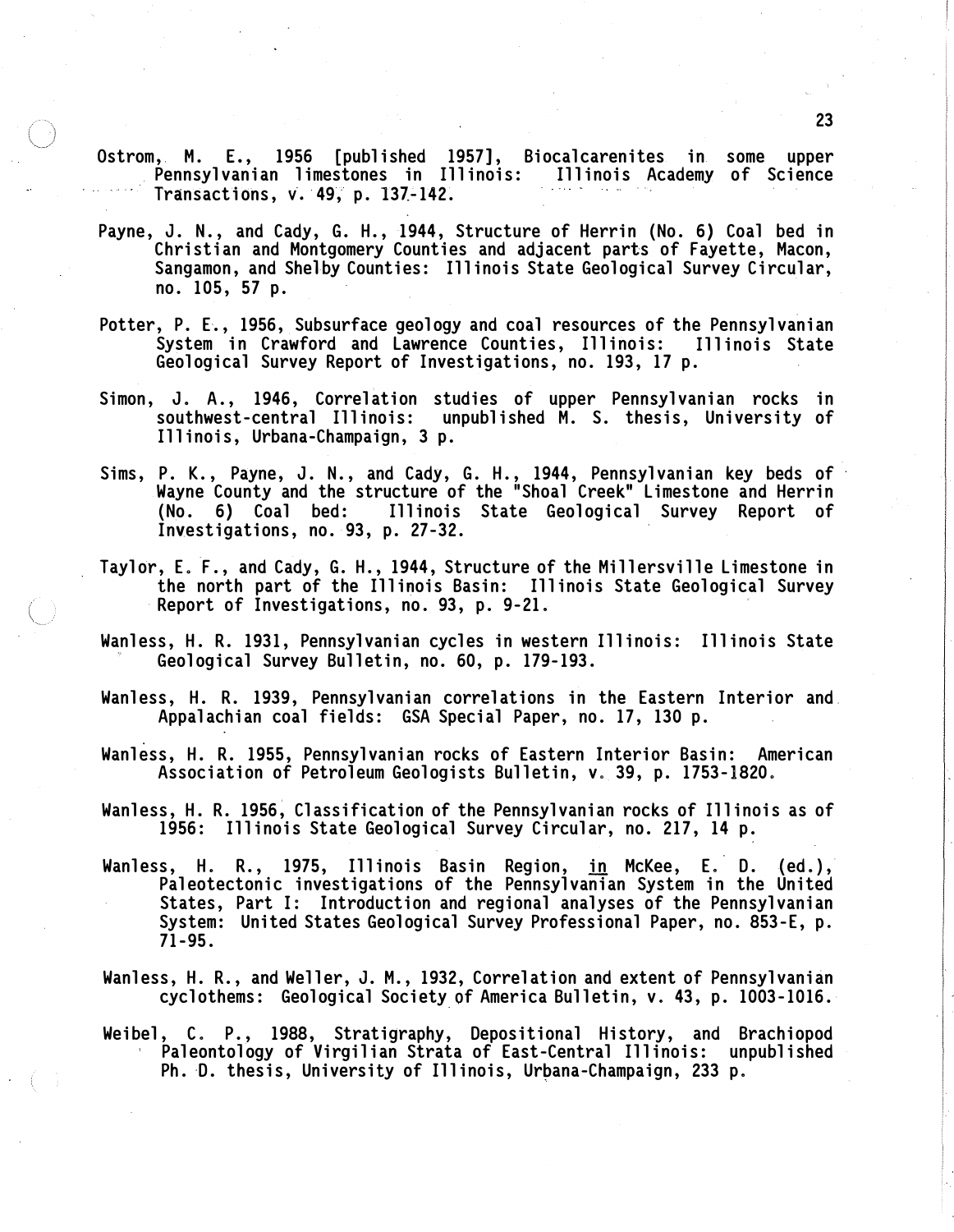- Ostrom, M. E., 1956 [published 1957], Biocalcarenites in some upper . Pennsylvanian limestones in Illinois: Illinois Academy of Science Transactions, V. 49, p. 137-142.
- Payne, J. N., and Cady, G. H., 1944, Structure of Herrin (No. 6) Coal bed in Christian and Montgomery Counties and adjacent parts of Fayette, Macon, Sangamon, and Shelby Counties: Illinois State Geological Survey Circular, no. 105, 57 p.
- Potter, P. E., 1956, Subsurface geology and coal resources of the Pennsylvanian System in Crawford and Lawrence Counties, Illinois: Illinois State Geological Survey Report of Investigations, no. 193, 17 p.
- Simon, J. A., 1946, Correlation studies of upper Pennsylvanian rocks in southwest-central Illinois: unpublished M. S. thesis, University of Illinois, Urbana-Champaign, 3 p.
- Sims, P. K., Payne, J. N., and Cady, G. H., 1944, Pennsylvanian key beds of Wayne County and the structure of the "Shoal Creek" Limestone and Herrin (No. 6) Coal bed: Illinois State Geological Survey Report of Investigations, no. 93, p. 27-32.
- Taylor, E. F., and Cady, G. H., 1944, Structure of the Millersville Limestone in the north part of the Illinois Basin: Illinois State Geological Survey Report of Investigations, no. 93, p. 9-21.
- Wanless, H. R. 1931, Pennsylvanian cycles in western Illinois: Illinois State Geological Survey Bulletin, no. 60, p. 179-193.
- Wanless, H. R. 1939, Pennsylvanian correlations in the Eastern Interior and Appalachian coal fields: GSA Special Paper, no. 17, 130 p.
- Wanless, H. R. 1955, Pennsylvanian rocks of Eastern Interior Basin: American Association of Petroleum Geologists Bulletin, v. 39, p. 1753-1820.
- Wanless, H. R. 1956, Classification of the Pennsylvanian rocks of Illinois as of 1956: Illinois State Geological Survey Circular, no. 217, 14 p.
- Wanless, H. R., 1975, Illinois Basin Region, <u>in</u> McKee, E. D. (ed.), Paleotectonic investigations of the Pennsylvanian System in the United States, Part I: Introduction and regional analyses of the Pennsylvanian System: United States Geological Survey Professional Paper, no. 853-E, p. 71-95.
- Wanless, H. R., and Weller, J. M., 1932, Correlation and extent of Pennsylvanian cyclothems: Geological Society of America Bulletin, v. 43, p. 1003-1016.
- Weibel, C. P., 1988, Stratigraphy, Depositional History, and Brachiopod Paleontology of Virgilian Strata of East-Central Illinois: unpublished Ph. D. thesis, University of Illinois, Urpana-Champaign, 233 p.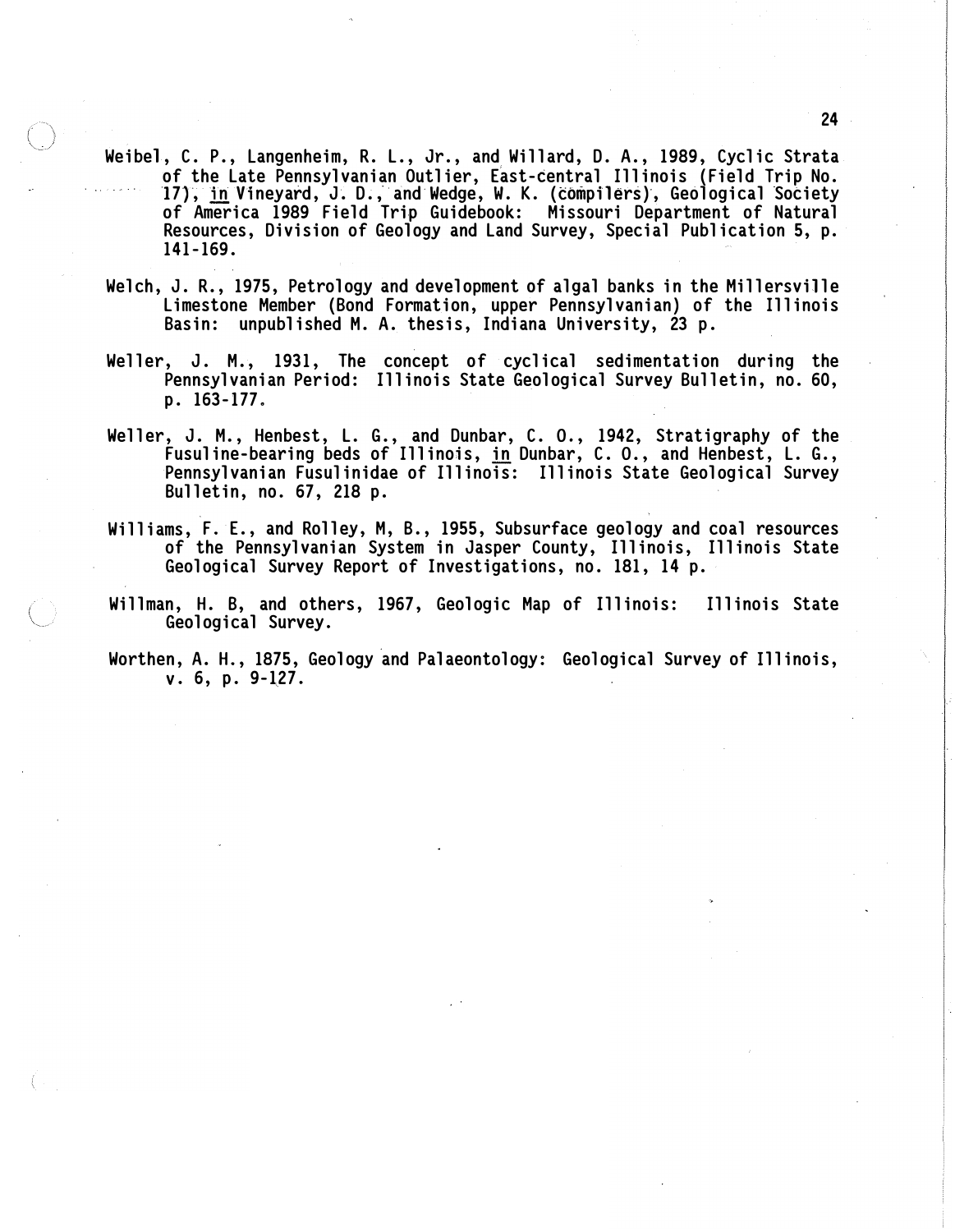- Weibel, C. P., Langenheim, R. L., Jr., and Willard, D. A., 1989, Cyclic Strata of the Late Pennsylvanian Outlier, East-central Illinois (Field Trip No. 17), in Vineyard, J. D., and Wedge, W. K. (compilers), Geological Society of America 1989 Field Trip Guidebook: Missouri Department of Natural Resources, Division of Geology and Land Survey, Special Publication 5, p. 141-169.
- Welch, J. R., 1975, Petrology and development of algal banks in the Millersville Limestone Member (Bond Formation, upper Pennsylvanian) of the Illinois Basin: unpublished M. A. thesis, Indiana University, 23 p.
- Weller, J. M., 1931, The concept of cyclical sedimentation during the Pennsylvanian Period: Illinois State Geological Survey Bulletin, no. 60, p. 163-177.
- Weller, J. M., Henbest, L. G., and Dunbar, C. 0., 1942, Stratigraphy of the Fusuline-bearing beds of Illinois, <u>in</u> Dunbar, C. O., and Henbest, L. G., Pennsylvanian Fusulinidae of Illinois: Illinois State Geological Survey Bulletin, no. 67, 218 p.
- Williams, F. E., and Rolley, M, B., 1955, Subsurface geology and coal resources of the Pennsylvanian System in Jasper County, Illinois, Illinois State Geological Survey Report of Investigations, no. 181, 14 p.
- Willman, H. B, and others, 1967, Geologic Map of Illinois: Illinois State Geological Survey.
- Worthen, A. H., 1875, Geology and Palaeontology: Geological Survey of Illinois,  $v. 6, p. 9-127.$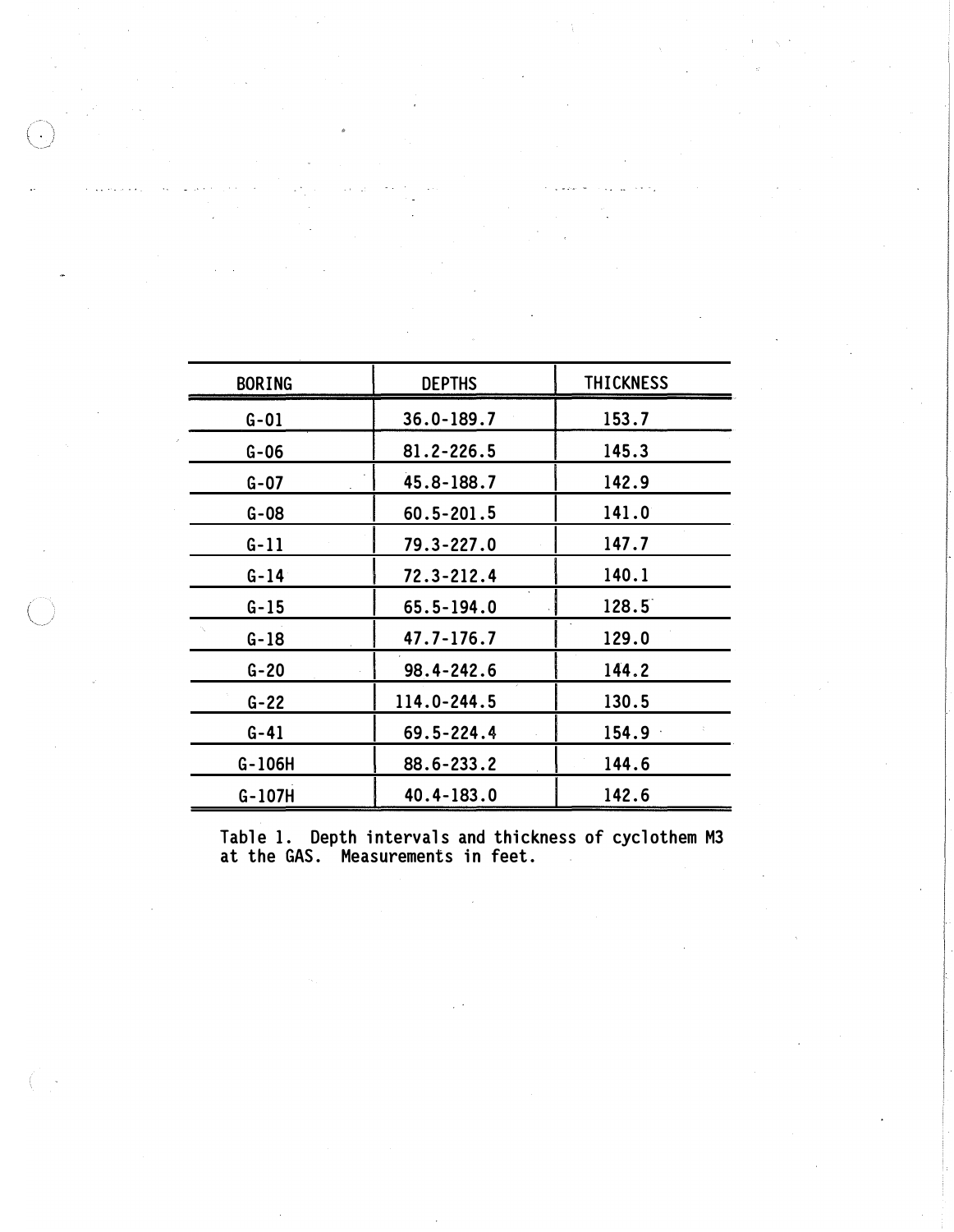| <b>BORING</b> | <b>DEPTHS</b>  | <b>THICKNESS</b> |
|---------------|----------------|------------------|
| $G - 01$      | 36.0-189.7     | 153.7            |
| $G - 06$      | 81.2-226.5     | 145.3            |
| $G - O7$      | 45.8-188.7     | 142.9            |
| $G - 08$      | $60.5 - 201.5$ | 141.0            |
| $G-11$        | 79.3-227.0     | 147.7            |
| $G-14$        | 72.3-212.4     | 140.1            |
| $G - 15$      | 65.5-194.0     | 128.5            |
| $G-18$        | 47.7-176.7     | 129.0            |
| $G - 20$      | 98.4-242.6     | 144.2            |
| $G - 22$      | 114.0-244.5    | 130.5            |
| $G - 41$      | 69.5-224.4     | 154.9            |
| G-106H        | 88.6-233.2     | 144.6            |
| $G-107H$      | $40.4 - 183.0$ | 142.6            |

Table 1. Depth intervals and thickness of cyclothem M3 at the GAS. Measurements in feet.

 $\bar{\omega}$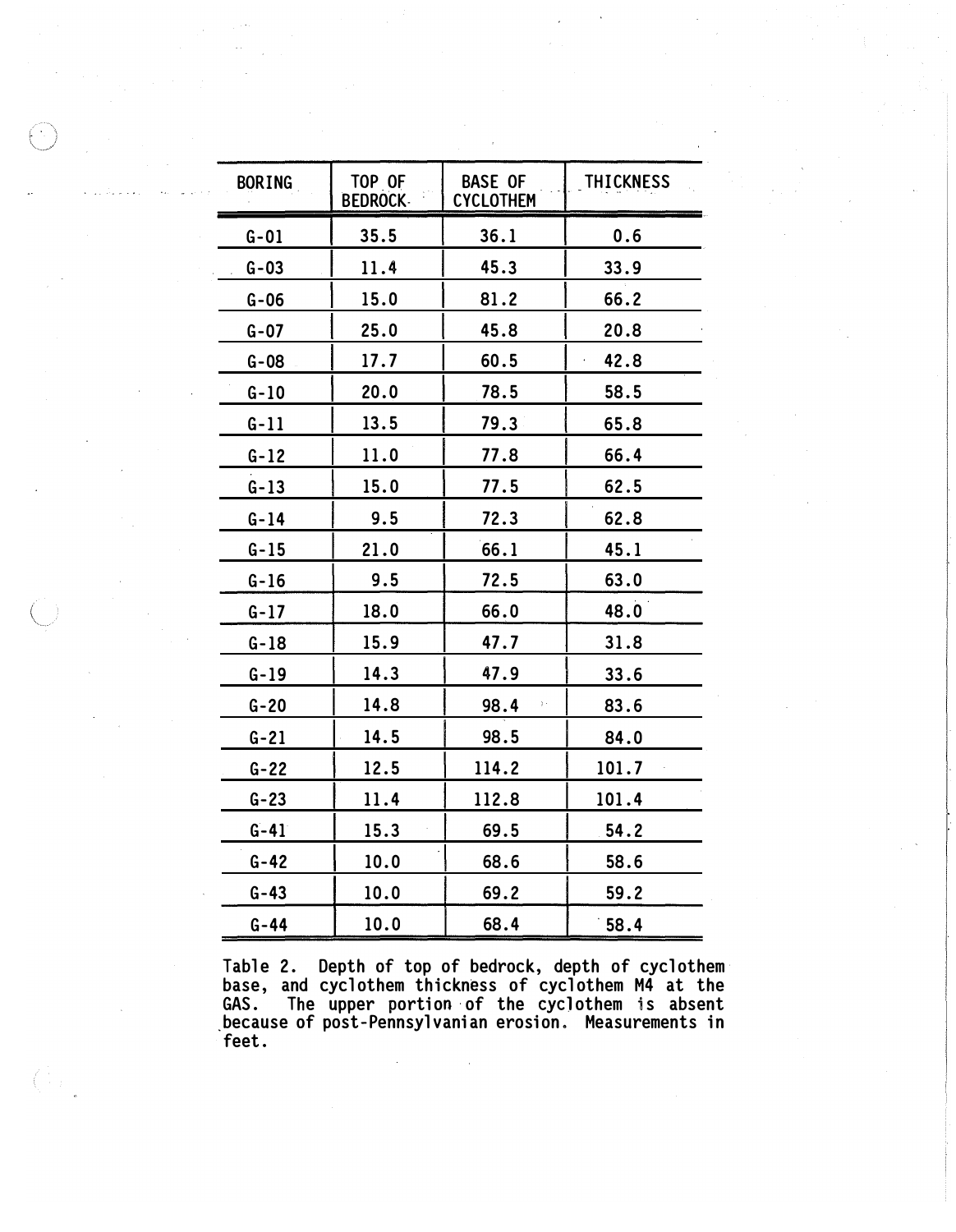| <b>BORING</b> | TOP OF<br><b>BEDROCK</b> | <b>BASE OF</b><br><b>CYCLOTHEM</b> | <b>THICKNESS</b> |
|---------------|--------------------------|------------------------------------|------------------|
| $G - 01$      | 35.5                     | 36.1                               | 0.6              |
| $G - 03$      | 11.4                     | 45.3                               | 33.9             |
| $G-06$        | 15.0                     | 81.2                               | 66.2             |
| $G - 07$      | 25.0                     | 45.8                               | 20.8             |
| $G - 08$      | 17.7                     | 60.5                               | 42.8             |
| $G - 10$      | 20.0                     | 78.5                               | 58.5             |
| $G-11$        | 13.5                     | 79.3                               | 65.8             |
| $G-12$        | 11.0                     | 77.8                               | 66.4             |
| $G-13$        | 15.0                     | 77.5                               | 62.5             |
| $G - 14$      | 9.5                      | 72.3                               | 62.8             |
| $G - 15$      | 21.0                     | 66.1                               | 45.1             |
| $G-16$        | 9.5                      | 72.5                               | 63.0             |
| $G-17$        | 18.0                     | 66.0                               | 48.0             |
| $G-18$        | 15.9                     | 47.7                               | 31.8             |
| $G-19$        | 14.3                     | 47.9                               | 33.6             |
| $G - 20$      | 14.8                     | 98.4                               | 83.6             |
| $G - 21$      | 14.5                     | 98.5                               | 84.0             |
| $G - 22$      | 12.5                     | 114.2                              | 101.7            |
| $G - 23$      | 11.4                     | 112.8                              | 101.4            |
| $G - 41$      | 15.3                     | 69.5                               | 54.2             |
| $G - 42$      | 10.0                     | 68.6                               | 58.6             |
| $G - 43$      | 10.0                     | 69.2                               | 59.2             |
| $G - 44$      | 10.0                     | 68.4                               | 58.4             |

Table 2. Depth of top of bedrock, depth of cyclothem base, and cyclothem thickness of cyclothem M4 at the GAS. The upper portion of the cyclothem is absent \_because of post-Pennsylvanian erosion. Measurements in feet.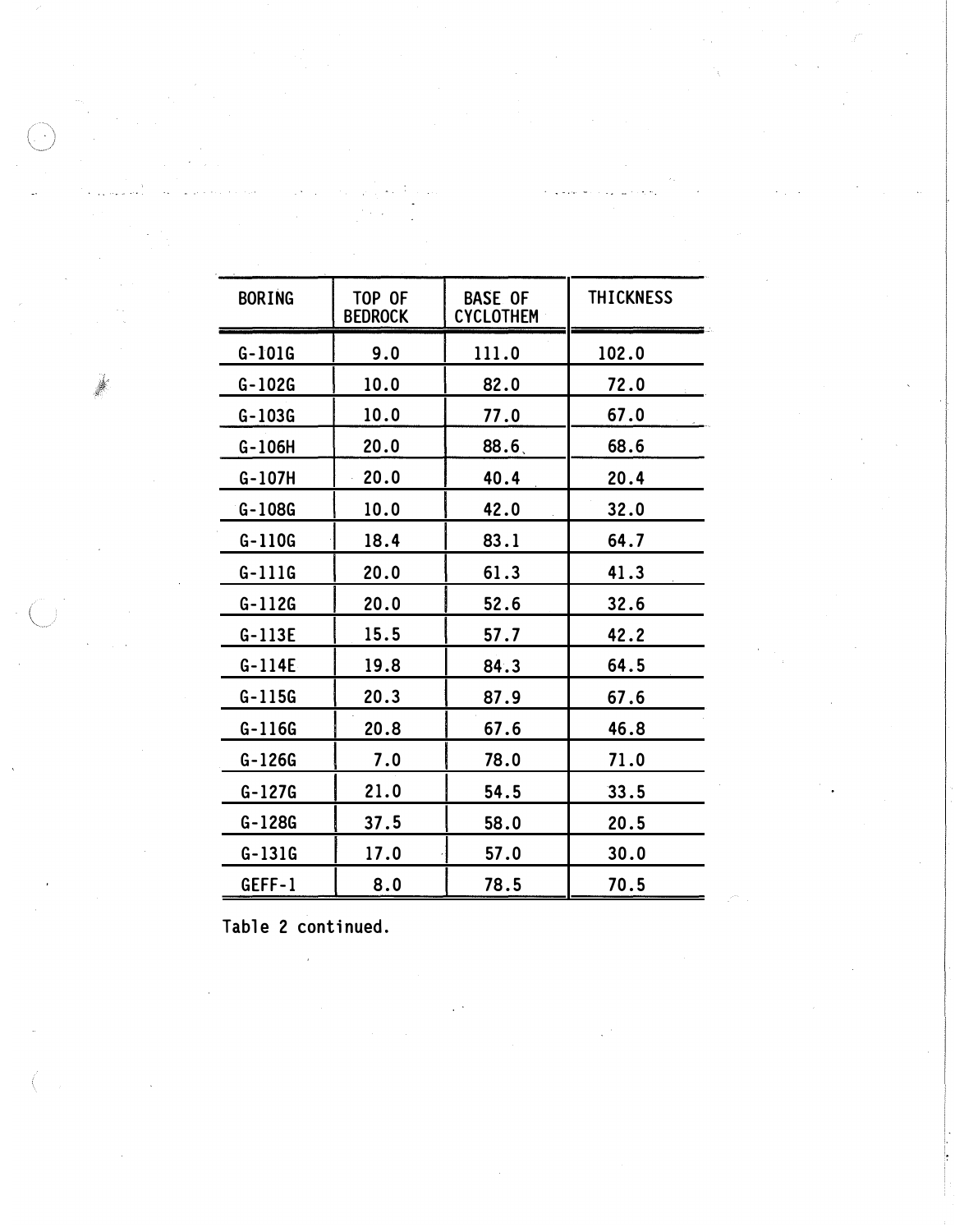| <b>BORING</b> | TOP OF<br><b>BEDROCK</b> | <b>BASE OF</b><br><b>CYCLOTHEM</b> | <b>THICKNESS</b> |
|---------------|--------------------------|------------------------------------|------------------|
| $G-101G$      | 9.0                      | 111.0                              | 102.0            |
| $G - 102G$    | 10.0                     | 82.0                               | 72.0             |
| $G-103G$      | 10.0                     | 77.0                               | 67.0             |
| G-106H        | 20.0                     | 88.6                               | 68.6             |
| $G-107H$      | 20.0                     | 40.4                               | 20.4             |
| $G-108G$      | 10.0                     | 42.0                               | 32.0             |
| $G-110G$      | 18.4                     | 83.1                               | 64.7             |
| $G-111G$      | 20.0                     | 61.3                               | 41.3             |
| $G-112G$      | 20.0                     | 52.6                               | 32.6             |
| $G-113E$      | 15.5                     | 57.7                               | 42.2             |
| $G-114E$      | 19.8                     | 84.3                               | 64.5             |
| $G-115G$      | 20.3                     | 87.9                               | 67.6             |
| $G-116G$      | 20.8                     | 67.6                               | 46.8             |
| $G-126G$      | 7.0                      | 78.0                               | 71.0             |
| $G-127G$      | 21.0                     | 54.5                               | 33.5             |
| G-128G        | 37.5                     | 58.0                               | 20.5             |
| $G-131G$      | 17.0                     | 57.0                               | 30.0             |
| GEFF-1        | 8.0                      | 78.5                               | 70.5             |

Table 2 continued.

 $\mathcal{L}_{\mathcal{L}}$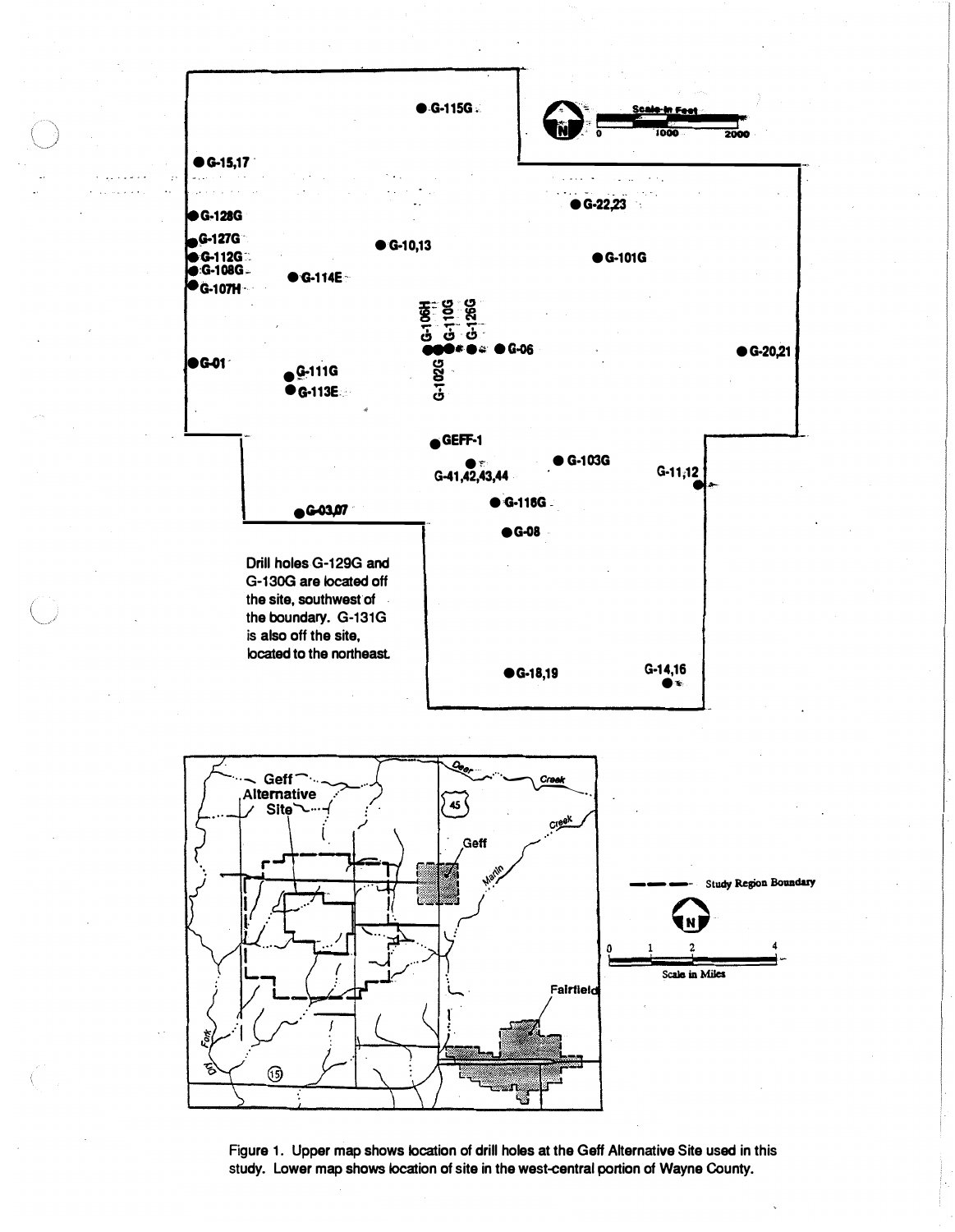

Figure 1. Upper map shows location of drill holes at the Geff Alternative Site used in this study. Lower map shows location of site in the west-central portion of Wayne County.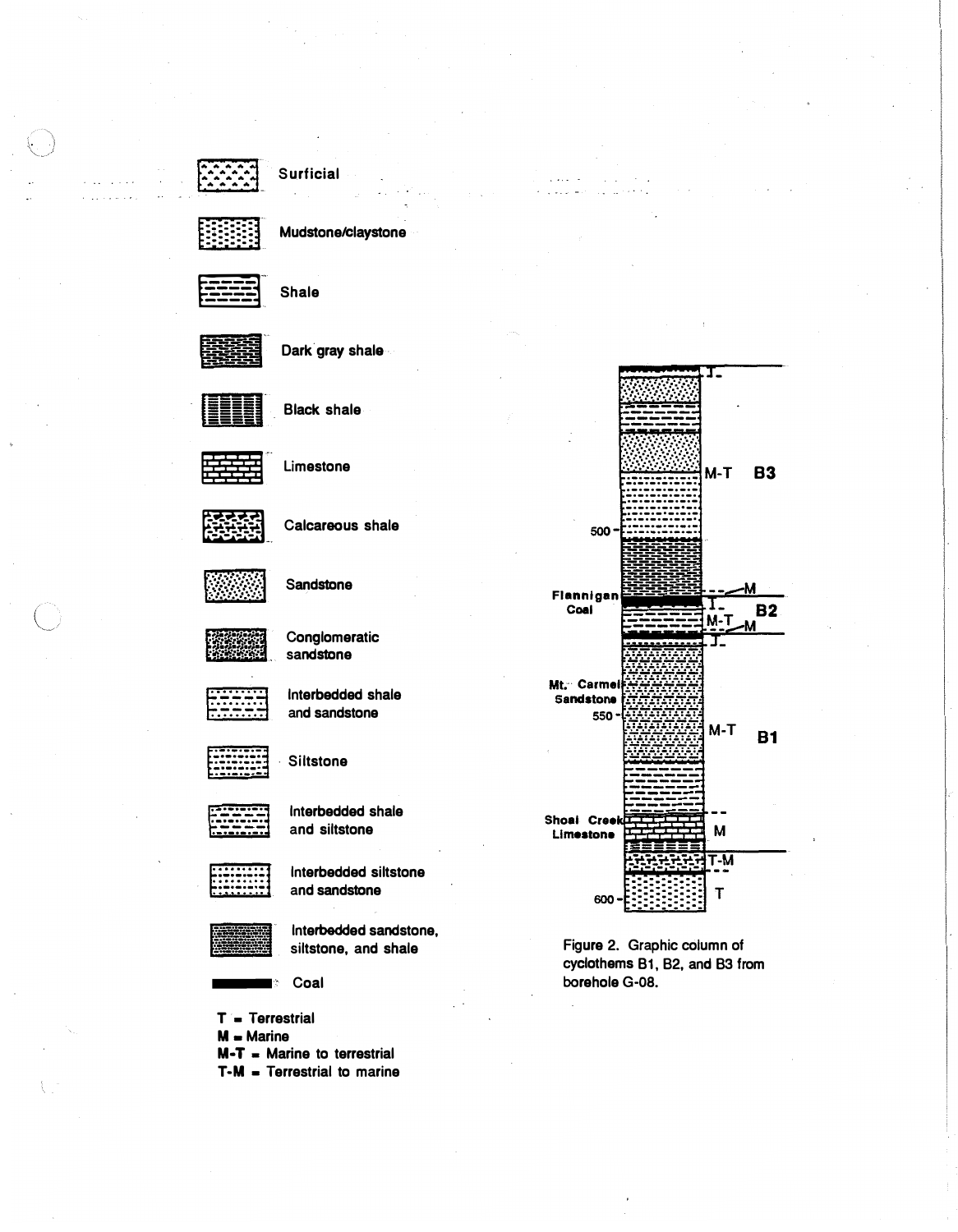



Mudstone/claystone



**Shale** 



Dark gray shale



**Black shale** 



Limestone



Calcareous shale



Sandstone



Conglomeratic sandstone



Interbedded shale and sandstone



**Siltstone** 



Interbedded shale and siltstone



Interbedded siltstone and sandstone



Interbedded sandstone, siltstone, and shale

Coal

 $T = T$ errestrial  $M =$  Marine  $M-T$  = Marine to terrestrial  $T-M = Terrestrial$  to marine



 $\mathbb{Z}^2$  , and  $\mathbb{Z}^2$  , and

Figure 2. Graphic column of cyclothems B1, B2, and B3 from borehole G-08.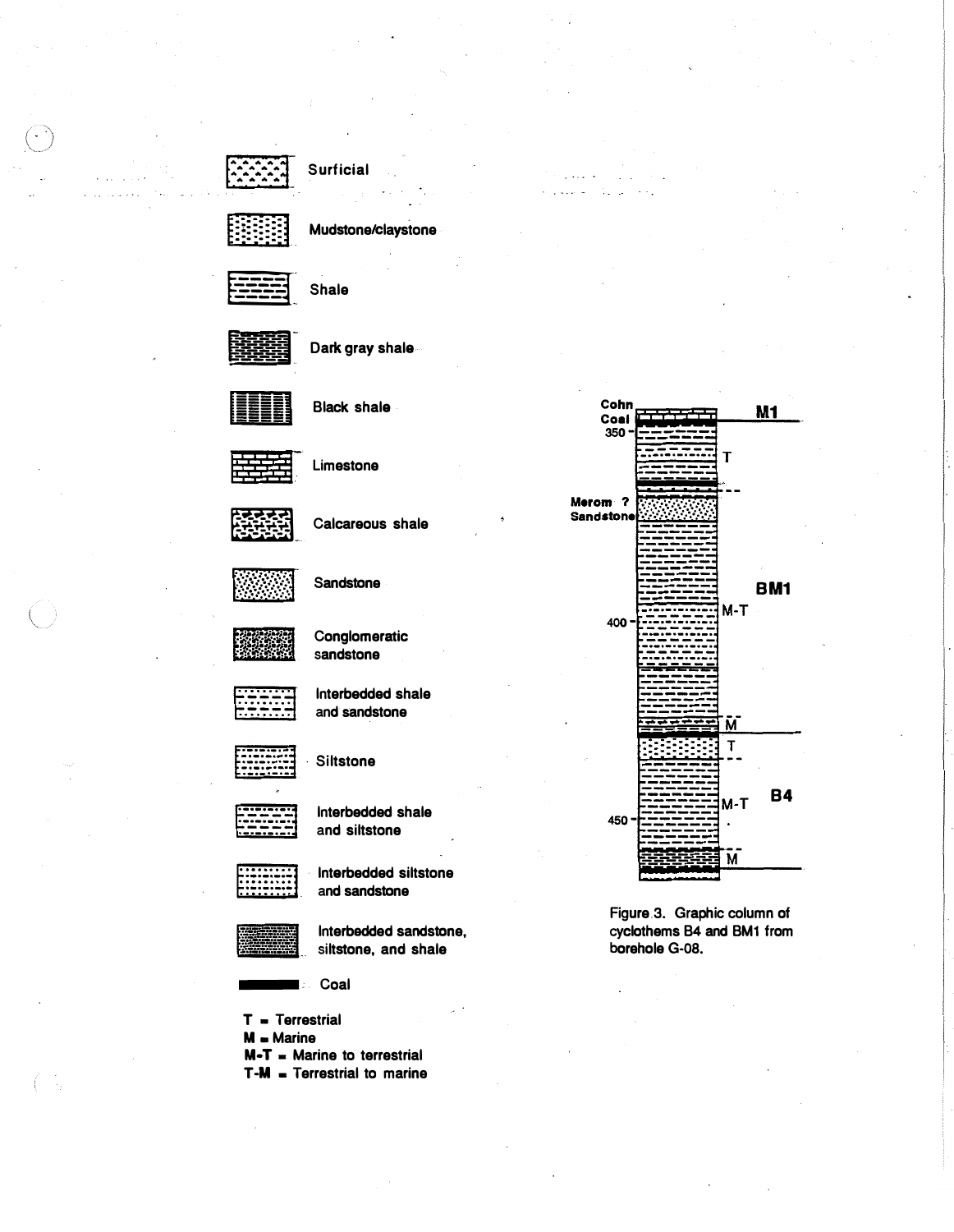

Mudstone/claystone



**Shale** 

Dark gray shale



**Black shale** 

Limestone

Calcareous shale

Sandstone

Conglomeratic sandstone

Interbedded shale and sandstone

**Siltstone** 

Interbedded shale and siltstone

Interbedded siltstone and sandstone

Interbedded sandstone, siltstone, and shale

Coal

 $T = T$ errestrial  $M =$  Marine  $M - T$  = Marine to terrestrial  $T-M = T$ errestrial to marine



 $\cdots$ 

Figure 3. Graphic column of cyclothems B4 and BM1 from borehole G-08.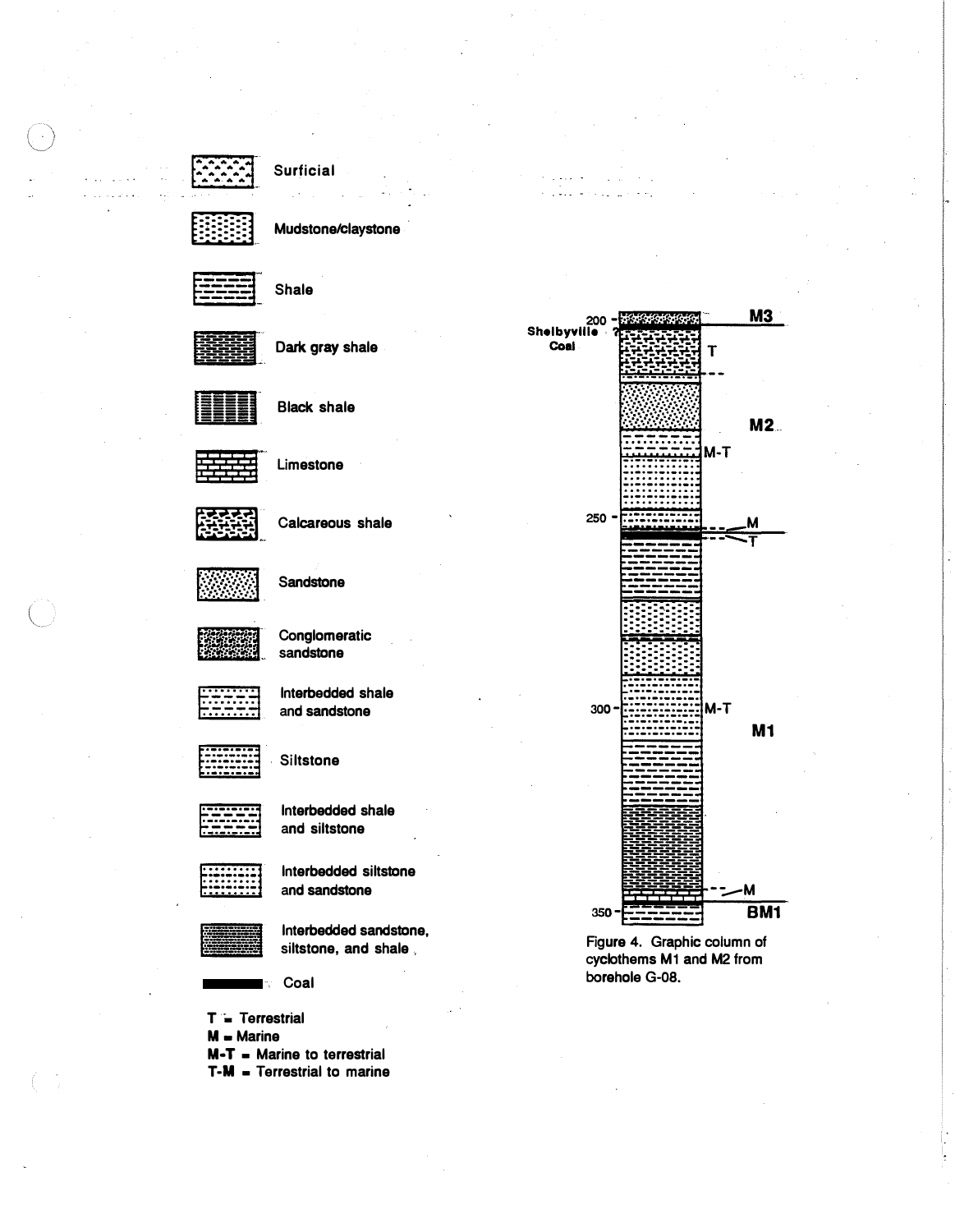Shale



Mudstone/claystone



Dark gray shale



**Black shale** 



Limestone



Calcareous shale



Sandstone



Interbedded shale

and sandstone

Conglomeratic sandstone



**Siltstone** 



Interbedded shale and siltstone

Interbedded siltstone and sandstone

Interbedded sandstone, siltstone, and shale,

Coal

 $T = T$ errestrial  $M =$  Marine M-T = Marine to terrestrial  $T-M = T$ errestrial to marine



Figure 4. Graphic column of cyclothems M1 and M2 from borehole G-08.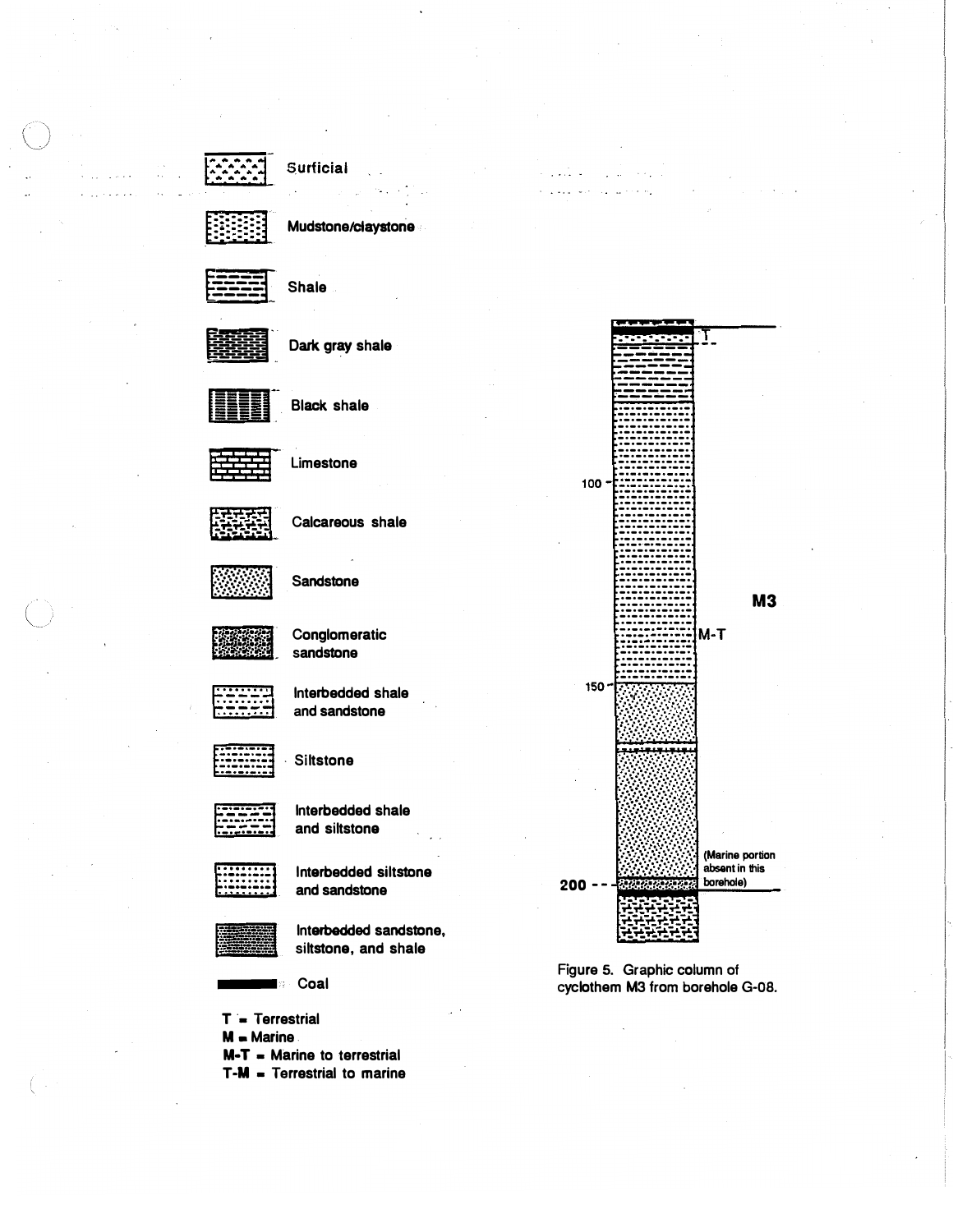



Mudstone/claystone



Shale



Dark gray shale



Black shale



Limestone



Calcareous shale



**Sandstone** 

Conglomeratic sandstone

lnterbedded shale



and sandstone

**Siltstone** 



lnterbedded shale and siltstone

lnterbedded siltstone and sandstone



lnterbedded sandstone, siltstone, and shale

Coal  $\mathbb{R}^+$ 

- $T = T$ errestrial
- $M -$  Marine
- $M-T$  = Marine to terrestrial
- $T-M = T$ errestrial to marine



Figure 5. Graphic column of cyclothem M3 from borehole G-08.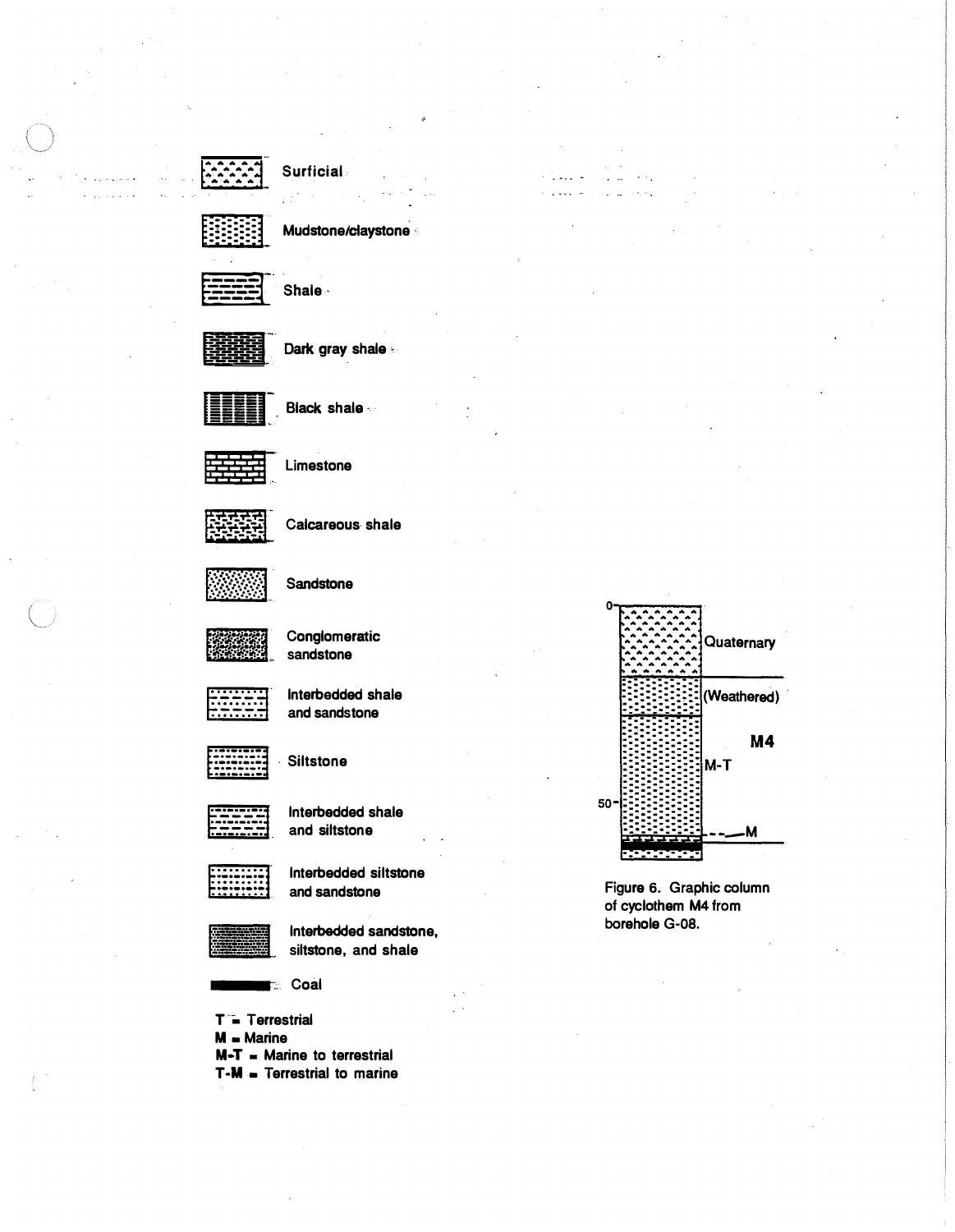



Mudstone/claystone

Shale -



Dark gray shale



Black shale



Limestone



Calcareous shale



Sandstone



Conglomeratic sandstone



Interbedded shale and sandstone



**Siltstone** 



Interbedded shale and siltstone



Interbedded siltstone and sandstone



Interbedded sandstone, siltstone, and shale

**Coal** 

- T = Terrestrial  $M =$  Marine  $M - T$  = Marine to terrestrial
- $T-M = T$ errestrial to marine



Figure 6. Graphic column of cyclothem M4 from borehole G-08.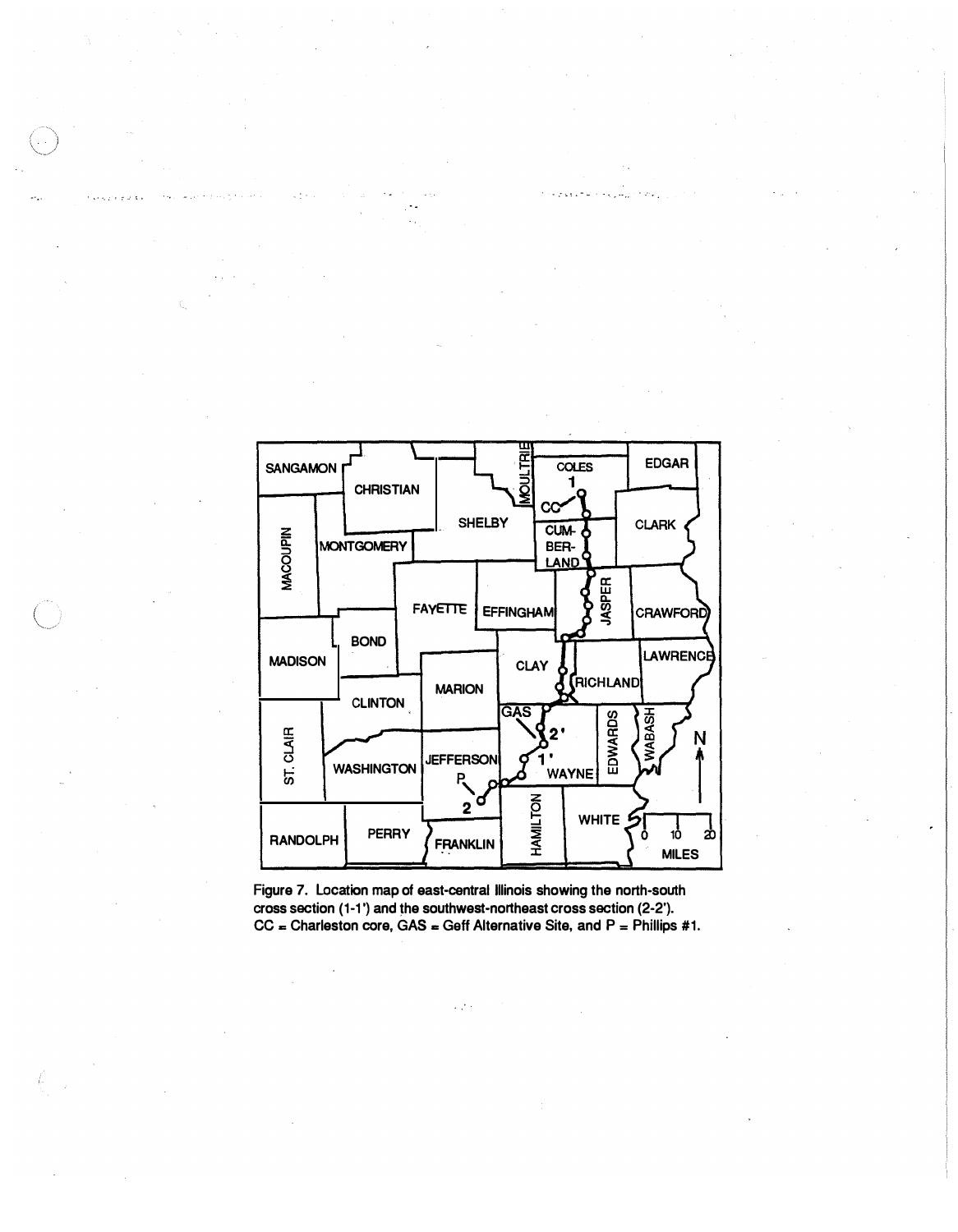

" : �: . - -